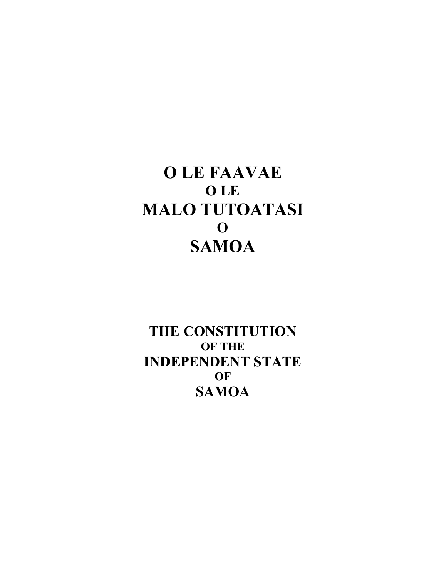# **O LE FAAVAE O LE MALO TUTOATASI O SAMOA**

**THE CONSTITUTION OF THE INDEPENDENT STATE OF SAMOA**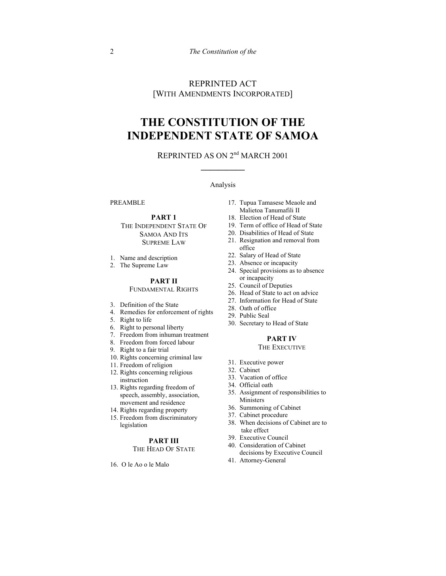## REPRINTED ACT [WITH AMENDMENTS INCORPORATED]

## **THE CONSTITUTION OF THE INDEPENDENT STATE OF SAMOA**

REPRINTED AS ON 2<sup>nd</sup> MARCH 2001 **\_\_\_\_\_\_\_\_\_\_** 

## Analysis

#### PREAMBLE

#### **PART 1**

## THE INDEPENDENT STATE OF SAMOA AND ITS SUPREME LAW

- 1. Name and description
- 2. The Supreme Law

#### **PART II**

#### FUNDAMENTAL RIGHTS

- 3. Definition of the State
- 4. Remedies for enforcement of rights
- 5. Right to life
- 6. Right to personal liberty
- 7. Freedom from inhuman treatment
- 8. Freedom from forced labour
- 9. Right to a fair trial
- 10. Rights concerning criminal law
- 11. Freedom of religion
- 12. Rights concerning religious instruction
- 13. Rights regarding freedom of speech, assembly, association, movement and residence
- 14. Rights regarding property
- 15. Freedom from discriminatory legislation

#### **PART III**

#### THE HEAD OF STATE

16. O le Ao o le Malo

- 17. Tupua Tamasese Meaole and Malietoa Tanumafili II
- 18. Election of Head of State
- 19. Term of office of Head of State
- 20. Disabilities of Head of State
- 21. Resignation and removal from office
- 22. Salary of Head of State
- 23. Absence or incapacity
- 24. Special provisions as to absence or incapacity
- 25. Council of Deputies
- 26. Head of State to act on advice
- 27. Information for Head of State
- 28. Oath of office
- 29. Public Seal
- 30. Secretary to Head of State

#### **PART IV**

#### THE EXECUTIVE

- 31. Executive power
- 32. Cabinet
	- 33. Vacation of office
- 34. Official oath
- 35. Assignment of responsibilities to Ministers
- 36. Summoning of Cabinet
- 37. Cabinet procedure
- 38. When decisions of Cabinet are to take effect
- 39. Executive Council
- 40. Consideration of Cabinet decisions by Executive Council
- 41. Attorney-General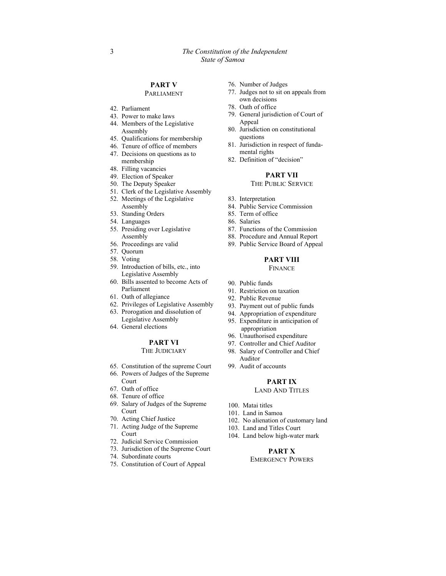#### **PART V**  PARLIAMENT

- 42. Parliament
- 43. Power to make laws
- 44. Members of the Legislative Assembly
- 45. Qualifications for membership
- 46. Tenure of office of members
- 47. Decisions on questions as to membership
- 48. Filling vacancies
- 49. Election of Speaker
- 50. The Deputy Speaker
- 51. Clerk of the Legislative Assembly
- 52. Meetings of the Legislative Assembly
- 53. Standing Orders
- 54. Languages
- 55. Presiding over Legislative Assembly
- 56. Proceedings are valid
- 57. Quorum
- 58. Voting
- 59. Introduction of bills, etc., into Legislative Assembly
- 60. Bills assented to become Acts of Parliament
- 61. Oath of allegiance
- 62. Privileges of Legislative Assembly
- 63. Prorogation and dissolution of Legislative Assembly
- 64. General elections

## **PART VI**

#### THE JUDICIARY

- 65. Constitution of the supreme Court
- 66. Powers of Judges of the Supreme Court
- 67. Oath of office
- 68. Tenure of office
- 69. Salary of Judges of the Supreme Court
- 70. Acting Chief Justice
- 71. Acting Judge of the Supreme Court
- 72. Judicial Service Commission
- 73. Jurisdiction of the Supreme Court
- 74. Subordinate courts
- 75. Constitution of Court of Appeal
- 76. Number of Judges
- 77. Judges not to sit on appeals from own decisions
- 78. Oath of office
- 79. General jurisdiction of Court of Appeal
- 80. Jurisdiction on constitutional questions
- 81. Jurisdiction in respect of funda mental rights
- 82. Definition of "decision"

### **PART VII**

#### THE PUBLIC SERVICE

- 83. Interpretation
- 84. Public Service Commission
- 85. Term of office
- 86. Salaries
- 87. Functions of the Commission
- 88. Procedure and Annual Report
- 89. Public Service Board of Appeal

## **PART VIII**

FINANCE

- 90. Public funds
- 91. Restriction on taxation
- 92. Public Revenue
- 93. Payment out of public funds
- 94. Appropriation of expenditure
- 95. Expenditure in anticipation of appropriation
- 96. Unauthorised expenditure
- 97. Controller and Chief Auditor
- 98. Salary of Controller and Chief Auditor
- 99. Audit of accounts

## **PART IX**

## LAND AND TITLES

- 100. Matai titles
- 101. Land in Samoa
- 102. No alienation of customary land
- 103. Land and Titles Court
- 104. Land below high-water mark

## **PART X**

## EMERGENCY POWERS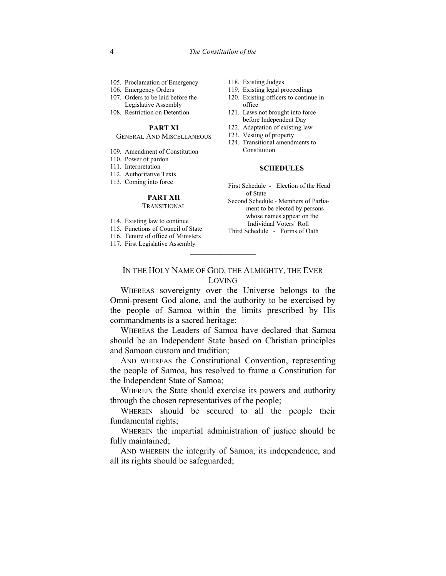- 105. Proclamation of Emergency
- 106. Emergency Orders
- 107. Orders to be laid before the Legislative Assembly
- 108. Restriction on Detention

#### **PART XI**

#### GENERAL AND MISCELLANEOUS

- 109. Amendment of Constitution
- 110. Power of pardon
- 111. Interpretation
- 112. Authoritative Texts
- 113. Coming into force

#### **PART XII**

### **TRANSITIONAL**

- 114. Existing law to continue
- 115. Functions of Council of State
- 116. Tenure of office of Ministers

117. First Legislative Assembly

- 118. Existing Judges
- 119. Existing legal proceedings
- 120. Existing officers to continue in office
- 121. Laws not brought into force before Independent Day
- 122. Adaptation of existing law
- 123. Vesting of property
- 124. Transitional amendments to Constitution

#### **SCHEDULES**

First Schedule - Election of the Head of State Second Schedule - Members of Parlia ment to be elected by persons whose names appear on the Individual Voters' Roll

Third Schedule - Forms of Oath

## IN THE HOLY NAME OF GOD, THE ALMIGHTY, THE EVER LOVING

WHEREAS sovereignty over the Universe belongs to the Omni-present God alone, and the authority to be exercised by the people of Samoa within the limits prescribed by His commandments is a sacred heritage;

WHEREAS the Leaders of Samoa have declared that Samoa should be an Independent State based on Christian principles and Samoan custom and tradition;

AND WHEREAS the Constitutional Convention, representing the people of Samoa, has resolved to frame a Constitution for the Independent State of Samoa;

WHEREIN the State should exercise its powers and authority through the chosen representatives of the people;

WHEREIN should be secured to all the people their fundamental rights;

WHEREIN the impartial administration of justice should be fully maintained;

AND WHEREIN the integrity of Samoa, its independence, and all its rights should be safeguarded;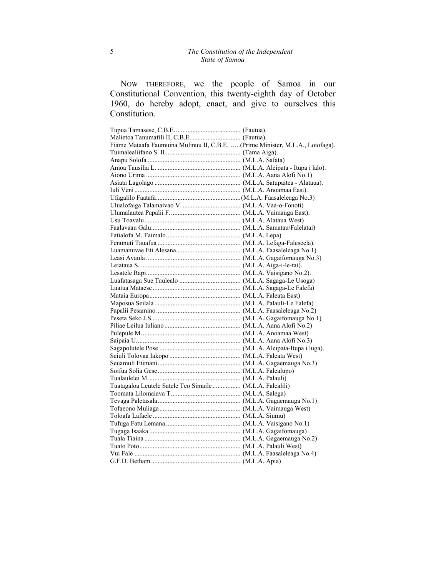NOW THEREFORE, we the people of Samoa in our Constitutional Convention, this twenty-eighth day of October 1960, do hereby adopt, enact, and give to ourselves this Constitution.

| Malietoa Tanumafili II, C.B.E.  (Fautua).                                     |  |
|-------------------------------------------------------------------------------|--|
| Fiame Mataafa Faumuina Mulinuu II, C.B.E. (Prime Minister, M.L.A., Lotofaga). |  |
|                                                                               |  |
|                                                                               |  |
|                                                                               |  |
|                                                                               |  |
|                                                                               |  |
|                                                                               |  |
|                                                                               |  |
|                                                                               |  |
|                                                                               |  |
|                                                                               |  |
|                                                                               |  |
|                                                                               |  |
|                                                                               |  |
|                                                                               |  |
|                                                                               |  |
|                                                                               |  |
|                                                                               |  |
|                                                                               |  |
|                                                                               |  |
|                                                                               |  |
|                                                                               |  |
|                                                                               |  |
|                                                                               |  |
|                                                                               |  |
|                                                                               |  |
|                                                                               |  |
|                                                                               |  |
|                                                                               |  |
|                                                                               |  |
|                                                                               |  |
|                                                                               |  |
| Tuatagaloa Leutele Satele Teo Simaile  (M.L.A. Falealili)                     |  |
|                                                                               |  |
|                                                                               |  |
|                                                                               |  |
|                                                                               |  |
|                                                                               |  |
|                                                                               |  |
|                                                                               |  |
|                                                                               |  |
|                                                                               |  |
|                                                                               |  |
|                                                                               |  |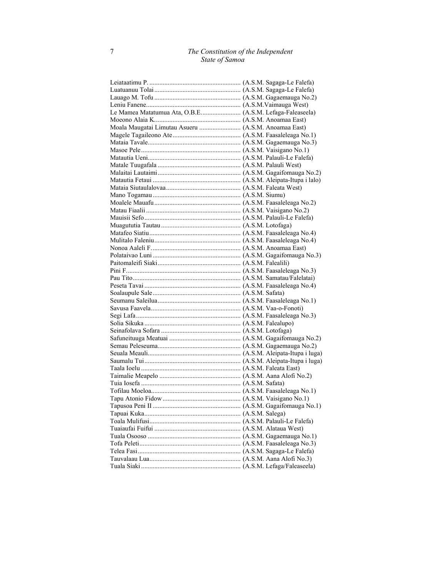## *The Constitution of the Independent State of Samoa*

| Moala Maugatai Limutau Asueru  (A.S.M. Anoamaa East) |  |
|------------------------------------------------------|--|
|                                                      |  |
|                                                      |  |
|                                                      |  |
|                                                      |  |
|                                                      |  |
|                                                      |  |
|                                                      |  |
|                                                      |  |
|                                                      |  |
|                                                      |  |
|                                                      |  |
|                                                      |  |
|                                                      |  |
|                                                      |  |
|                                                      |  |
|                                                      |  |
|                                                      |  |
|                                                      |  |
|                                                      |  |
|                                                      |  |
|                                                      |  |
|                                                      |  |
|                                                      |  |
|                                                      |  |
|                                                      |  |
|                                                      |  |
|                                                      |  |
|                                                      |  |
|                                                      |  |
|                                                      |  |
|                                                      |  |
|                                                      |  |
|                                                      |  |
|                                                      |  |
|                                                      |  |
|                                                      |  |
|                                                      |  |
|                                                      |  |
|                                                      |  |
|                                                      |  |
|                                                      |  |
|                                                      |  |
|                                                      |  |
|                                                      |  |
|                                                      |  |
|                                                      |  |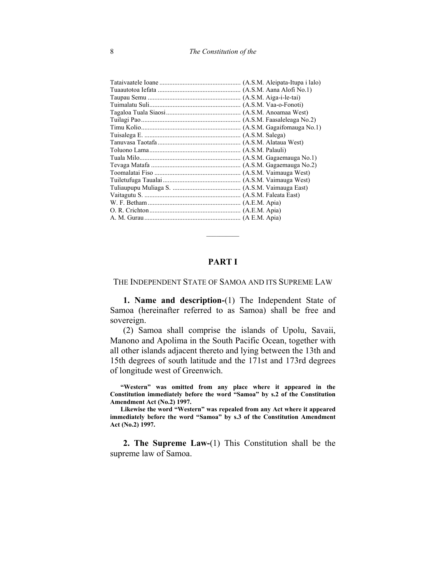## **PART I**

THE INDEPENDENT STATE OF SAMOA AND ITS SUPREME LAW

**1. Name and description-**(1) The Independent State of Samoa (hereinafter referred to as Samoa) shall be free and sovereign.

(2) Samoa shall comprise the islands of Upolu, Savaii, Manono and Apolima in the South Pacific Ocean, together with all other islands adjacent thereto and lying between the 13th and 15th degrees of south latitude and the 171st and 173rd degrees of longitude west of Greenwich.

**"Western" was omitted from any place where it appeared in the Constitution immediately before the word "Samoa" by s.2 of the Constitution Amendment Act (No.2) 1997.** 

**Likewise the word "Western" was repealed from any Act where it appeared immediately before the word "Samoa" by s.3 of the Constitution Amendment Act (No.2) 1997.**

**2. The Supreme Law-**(1) This Constitution shall be the supreme law of Samoa.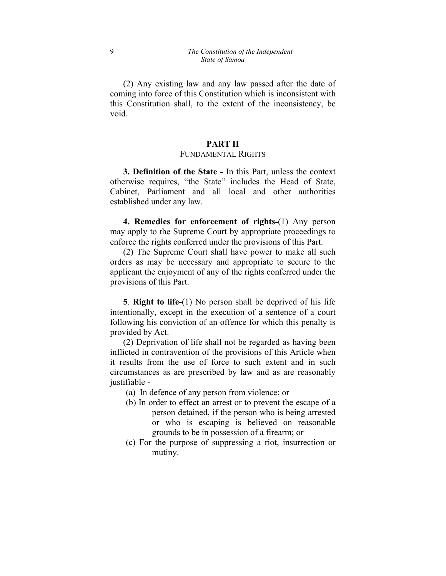(2) Any existing law and any law passed after the date of coming into force of this Constitution which is inconsistent with this Constitution shall, to the extent of the inconsistency, be void.

## **PART II**

## FUNDAMENTAL RIGHTS

**3. Definition of the State -** In this Part, unless the context otherwise requires, "the State" includes the Head of State, Cabinet, Parliament and all local and other authorities established under any law.

**4. Remedies for enforcement of rights-**(1) Any person may apply to the Supreme Court by appropriate proceedings to enforce the rights conferred under the provisions of this Part.

(2) The Supreme Court shall have power to make all such orders as may be necessary and appropriate to secure to the applicant the enjoyment of any of the rights conferred under the provisions of this Part.

**5**. **Right to life-**(1) No person shall be deprived of his life intentionally, except in the execution of a sentence of a court following his conviction of an offence for which this penalty is provided by Act.

(2) Deprivation of life shall not be regarded as having been inflicted in contravention of the provisions of this Article when it results from the use of force to such extent and in such circumstances as are prescribed by law and as are reasonably justifiable -

(a) In defence of any person from violence; or

- (b) In order to effect an arrest or to prevent the escape of a person detained, if the person who is being arrested or who is escaping is believed on reasonable grounds to be in possession of a firearm; or
- (c) For the purpose of suppressing a riot, insurrection or mutiny.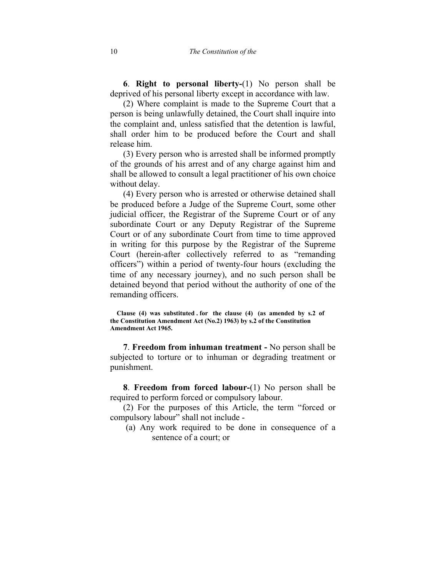**6**. **Right to personal liberty-**(1) No person shall be deprived of his personal liberty except in accordance with law.

(2) Where complaint is made to the Supreme Court that a person is being unlawfully detained, the Court shall inquire into the complaint and, unless satisfied that the detention is lawful, shall order him to be produced before the Court and shall release him.

(3) Every person who is arrested shall be informed promptly of the grounds of his arrest and of any charge against him and shall be allowed to consult a legal practitioner of his own choice without delay.

(4) Every person who is arrested or otherwise detained shall be produced before a Judge of the Supreme Court, some other judicial officer, the Registrar of the Supreme Court or of any subordinate Court or any Deputy Registrar of the Supreme Court or of any subordinate Court from time to time approved in writing for this purpose by the Registrar of the Supreme Court (herein-after collectively referred to as "remanding officers") within a period of twenty-four hours (excluding the time of any necessary journey), and no such person shall be detained beyond that period without the authority of one of the remanding officers.

 **Clause (4) was substituted . for the clause (4) (as amended by s.2 of the Constitution Amendment Act (No.2) 1963) by s.2 of the Constitution Amendment Act 1965.** 

**7**. **Freedom from inhuman treatment -** No person shall be subjected to torture or to inhuman or degrading treatment or punishment.

**8**. **Freedom from forced labour-**(1) No person shall be required to perform forced or compulsory labour.

(2) For the purposes of this Article, the term "forced or compulsory labour" shall not include -

(a) Any work required to be done in consequence of a sentence of a court; or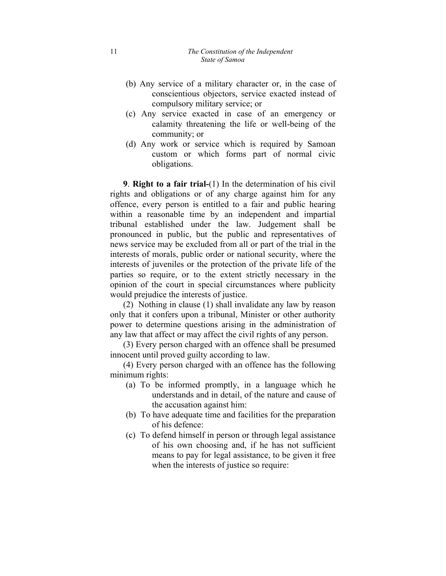- (b) Any service of a military character or, in the case of conscientious objectors, service exacted instead of compulsory military service; or
- (c) Any service exacted in case of an emergency or calamity threatening the life or well-being of the community; or
- (d) Any work or service which is required by Samoan custom or which forms part of normal civic obligations.

**9**. **Right to a fair trial-**(1) In the determination of his civil rights and obligations or of any charge against him for any offence, every person is entitled to a fair and public hearing within a reasonable time by an independent and impartial tribunal established under the law. Judgement shall be pronounced in public, but the public and representatives of news service may be excluded from all or part of the trial in the interests of morals, public order or national security, where the interests of juveniles or the protection of the private life of the parties so require, or to the extent strictly necessary in the opinion of the court in special circumstances where publicity would prejudice the interests of justice.

(2) Nothing in clause (1) shall invalidate any law by reason only that it confers upon a tribunal, Minister or other authority power to determine questions arising in the administration of any law that affect or may affect the civil rights of any person.

(3) Every person charged with an offence shall be presumed innocent until proved guilty according to law.

(4) Every person charged with an offence has the following minimum rights:

- (a) To be informed promptly, in a language which he understands and in detail, of the nature and cause of the accusation against him:
- (b) To have adequate time and facilities for the preparation of his defence:
- (c) To defend himself in person or through legal assistance of his own choosing and, if he has not sufficient means to pay for legal assistance, to be given it free when the interests of justice so require: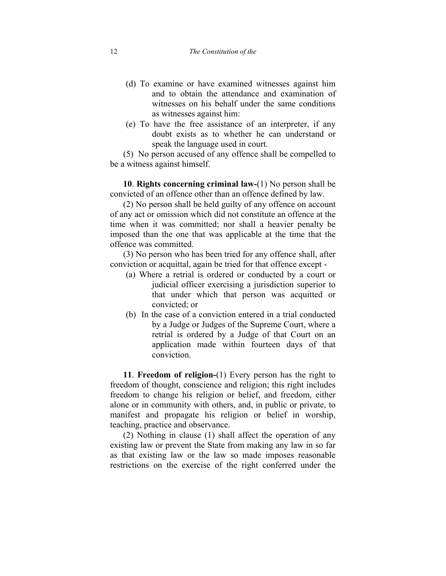- (d) To examine or have examined witnesses against him and to obtain the attendance and examination of witnesses on his behalf under the same conditions as witnesses against him:
- (e) To have the free assistance of an interpreter, if any doubt exists as to whether he can understand or speak the language used in court.

(5) No person accused of any offence shall be compelled to be a witness against himself.

**10**. **Rights concerning criminal law-**(1) No person shall be convicted of an offence other than an offence defined by law.

(2) No person shall be held guilty of any offence on account of any act or omission which did not constitute an offence at the time when it was committed; nor shall a heavier penalty be imposed than the one that was applicable at the time that the offence was committed.

(3) No person who has been tried for any offence shall, after conviction or acquittal, again be tried for that offence except -

- (a) Where a retrial is ordered or conducted by a court or judicial officer exercising a jurisdiction superior to that under which that person was acquitted or convicted; or
- (b) In the case of a conviction entered in a trial conducted by a Judge or Judges of the Supreme Court, where a retrial is ordered by a Judge of that Court on an application made within fourteen days of that conviction.

**11**. **Freedom of religion-**(1) Every person has the right to freedom of thought, conscience and religion; this right includes freedom to change his religion or belief, and freedom, either alone or in community with others, and, in public or private, to manifest and propagate his religion or belief in worship, teaching, practice and observance.

(2) Nothing in clause (1) shall affect the operation of any existing law or prevent the State from making any law in so far as that existing law or the law so made imposes reasonable restrictions on the exercise of the right conferred under the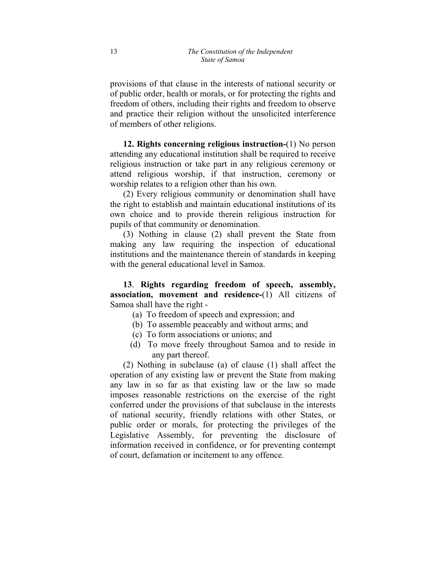provisions of that clause in the interests of national security or of public order, health or morals, or for protecting the rights and freedom of others, including their rights and freedom to observe and practice their religion without the unsolicited interference of members of other religions.

**12. Rights concerning religious instruction-**(1) No person attending any educational institution shall be required to receive religious instruction or take part in any religious ceremony or attend religious worship, if that instruction, ceremony or worship relates to a religion other than his own.

(2) Every religious community or denomination shall have the right to establish and maintain educational institutions of its own choice and to provide therein religious instruction for pupils of that community or denomination.

(3) Nothing in clause (2) shall prevent the State from making any law requiring the inspection of educational institutions and the maintenance therein of standards in keeping with the general educational level in Samoa.

**13**. **Rights regarding freedom of speech, assembly, association, movement and residence-**(1) All citizens of Samoa shall have the right -

- (a) To freedom of speech and expression; and
- (b) To assemble peaceably and without arms; and
- (c) To form associations or unions; and
- (d) To move freely throughout Samoa and to reside in any part thereof.

(2) Nothing in subclause (a) of clause (1) shall affect the operation of any existing law or prevent the State from making any law in so far as that existing law or the law so made imposes reasonable restrictions on the exercise of the right conferred under the provisions of that subclause in the interests of national security, friendly relations with other States, or public order or morals, for protecting the privileges of the Legislative Assembly, for preventing the disclosure of information received in confidence, or for preventing contempt of court, defamation or incitement to any offence.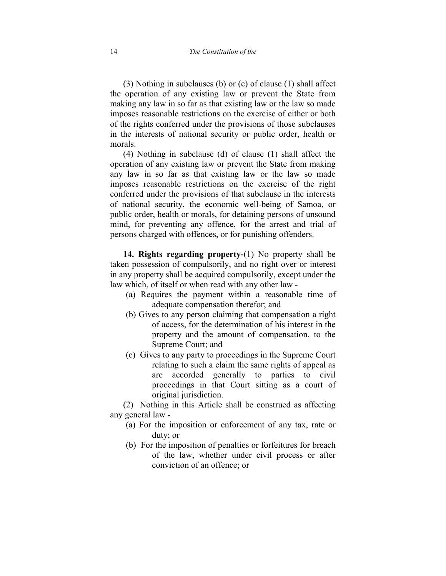(3) Nothing in subclauses (b) or (c) of clause (1) shall affect the operation of any existing law or prevent the State from making any law in so far as that existing law or the law so made imposes reasonable restrictions on the exercise of either or both of the rights conferred under the provisions of those subclauses in the interests of national security or public order, health or morals.

(4) Nothing in subclause (d) of clause (1) shall affect the operation of any existing law or prevent the State from making any law in so far as that existing law or the law so made imposes reasonable restrictions on the exercise of the right conferred under the provisions of that subclause in the interests of national security, the economic well-being of Samoa, or public order, health or morals, for detaining persons of unsound mind, for preventing any offence, for the arrest and trial of persons charged with offences, or for punishing offenders.

**14. Rights regarding property-**(1) No property shall be taken possession of compulsorily, and no right over or interest in any property shall be acquired compulsorily, except under the law which, of itself or when read with any other law -

- (a) Requires the payment within a reasonable time of adequate compensation therefor; and
- (b) Gives to any person claiming that compensation a right of access, for the determination of his interest in the property and the amount of compensation, to the Supreme Court; and
- (c) Gives to any party to proceedings in the Supreme Court relating to such a claim the same rights of appeal as are accorded generally to parties to civil proceedings in that Court sitting as a court of original jurisdiction.

(2) Nothing in this Article shall be construed as affecting any general law -

- (a) For the imposition or enforcement of any tax, rate or duty; or
- (b) For the imposition of penalties or forfeitures for breach of the law, whether under civil process or after conviction of an offence; or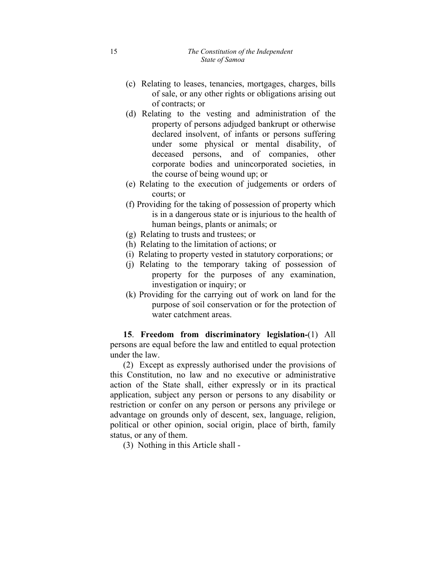- (c) Relating to leases, tenancies, mortgages, charges, bills of sale, or any other rights or obligations arising out of contracts; or
- (d) Relating to the vesting and administration of the property of persons adjudged bankrupt or otherwise declared insolvent, of infants or persons suffering under some physical or mental disability, of deceased persons, and of companies, other corporate bodies and unincorporated societies, in the course of being wound up; or
- (e) Relating to the execution of judgements or orders of courts; or
- (f) Providing for the taking of possession of property which is in a dangerous state or is injurious to the health of human beings, plants or animals; or
- (g) Relating to trusts and trustees; or
- (h) Relating to the limitation of actions; or
- (i) Relating to property vested in statutory corporations; or
- (j) Relating to the temporary taking of possession of property for the purposes of any examination, investigation or inquiry; or
- (k) Providing for the carrying out of work on land for the purpose of soil conservation or for the protection of water catchment areas.

**15**. **Freedom from discriminatory legislation***-*(1) All persons are equal before the law and entitled to equal protection under the law.

(2) Except as expressly authorised under the provisions of this Constitution, no law and no executive or administrative action of the State shall, either expressly or in its practical application, subject any person or persons to any disability or restriction or confer on any person or persons any privilege or advantage on grounds only of descent, sex, language, religion, political or other opinion, social origin, place of birth, family status, or any of them.

(3) Nothing in this Article shall -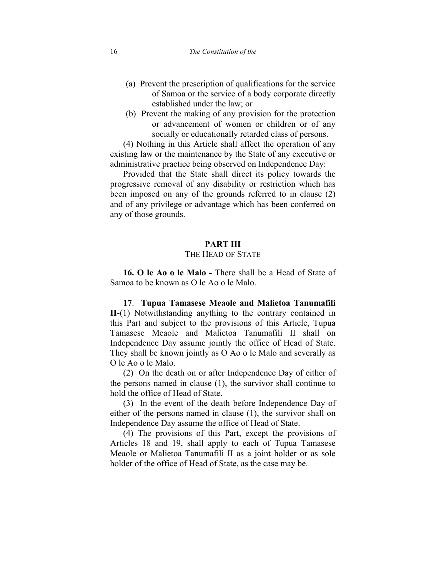- (a) Prevent the prescription of qualifications for the service of Samoa or the service of a body corporate directly established under the law; or
- (b) Prevent the making of any provision for the protection or advancement of women or children or of any socially or educationally retarded class of persons.

(4) Nothing in this Article shall affect the operation of any existing law or the maintenance by the State of any executive or administrative practice being observed on Independence Day:

Provided that the State shall direct its policy towards the progressive removal of any disability or restriction which has been imposed on any of the grounds referred to in clause (2) and of any privilege or advantage which has been conferred on any of those grounds.

## **PART III**

## THE HEAD OF STATE

**16. O le Ao o le Malo** *-* There shall be a Head of State of Samoa to be known as O le Ao o le Malo.

**17**. **Tupua Tamasese Meaole and Malietoa Tanumafili II**-(1) Notwithstanding anything to the contrary contained in this Part and subject to the provisions of this Article, Tupua Tamasese Meaole and Malietoa Tanumafili II shall on Independence Day assume jointly the office of Head of State. They shall be known jointly as O Ao o le Malo and severally as O le Ao o le Malo.

(2) On the death on or after Independence Day of either of the persons named in clause (1), the survivor shall continue to hold the office of Head of State.

(3) In the event of the death before Independence Day of either of the persons named in clause (1), the survivor shall on Independence Day assume the office of Head of State.

(4) The provisions of this Part, except the provisions of Articles 18 and 19, shall apply to each of Tupua Tamasese Meaole or Malietoa Tanumafili II as a joint holder or as sole holder of the office of Head of State, as the case may be.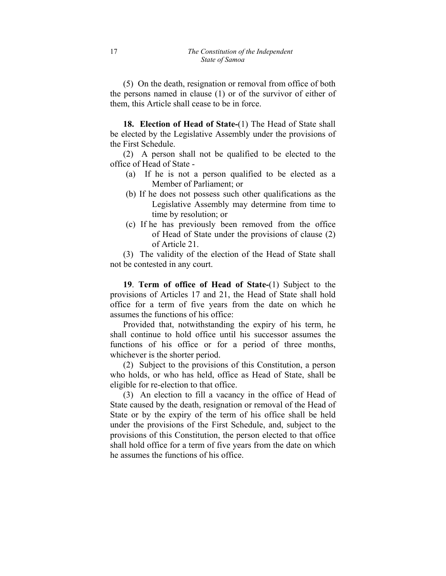(5) On the death, resignation or removal from office of both the persons named in clause (1) or of the survivor of either of them, this Article shall cease to be in force.

**18. Election of Head of State-**(1) The Head of State shall be elected by the Legislative Assembly under the provisions of the First Schedule.

(2) A person shall not be qualified to be elected to the office of Head of State -

- (a) If he is not a person qualified to be elected as a Member of Parliament; or
- (b) If he does not possess such other qualifications as the Legislative Assembly may determine from time to time by resolution; or
- (c) If he has previously been removed from the office of Head of State under the provisions of clause (2) of Article 21.

(3) The validity of the election of the Head of State shall not be contested in any court.

**19**. **Term of office of Head of State-**(1) Subject to the provisions of Articles 17 and 21, the Head of State shall hold office for a term of five years from the date on which he assumes the functions of his office:

Provided that, notwithstanding the expiry of his term, he shall continue to hold office until his successor assumes the functions of his office or for a period of three months, whichever is the shorter period.

(2) Subject to the provisions of this Constitution, a person who holds, or who has held, office as Head of State, shall be eligible for re-election to that office.

(3) An election to fill a vacancy in the office of Head of State caused by the death, resignation or removal of the Head of State or by the expiry of the term of his office shall be held under the provisions of the First Schedule, and, subject to the provisions of this Constitution, the person elected to that office shall hold office for a term of five years from the date on which he assumes the functions of his office.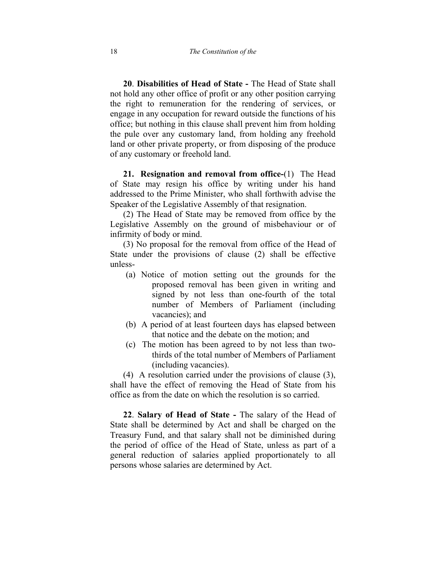**20**. **Disabilities of Head of State -** The Head of State shall not hold any other office of profit or any other position carrying the right to remuneration for the rendering of services, or engage in any occupation for reward outside the functions of his office; but nothing in this clause shall prevent him from holding the pule over any customary land, from holding any freehold land or other private property, or from disposing of the produce of any customary or freehold land.

**21. Resignation and removal from office-**(1) The Head of State may resign his office by writing under his hand addressed to the Prime Minister, who shall forthwith advise the Speaker of the Legislative Assembly of that resignation.

(2) The Head of State may be removed from office by the Legislative Assembly on the ground of misbehaviour or of infirmity of body or mind.

(3) No proposal for the removal from office of the Head of State under the provisions of clause (2) shall be effective unless-

- (a) Notice of motion setting out the grounds for the proposed removal has been given in writing and signed by not less than one-fourth of the total number of Members of Parliament (including vacancies); and
- (b) A period of at least fourteen days has elapsed between that notice and the debate on the motion; and
- (c) The motion has been agreed to by not less than twothirds of the total number of Members of Parliament (including vacancies).

(4) A resolution carried under the provisions of clause (3), shall have the effect of removing the Head of State from his office as from the date on which the resolution is so carried.

**22**. **Salary of Head of State -** The salary of the Head of State shall be determined by Act and shall be charged on the Treasury Fund, and that salary shall not be diminished during the period of office of the Head of State, unless as part of a general reduction of salaries applied proportionately to all persons whose salaries are determined by Act.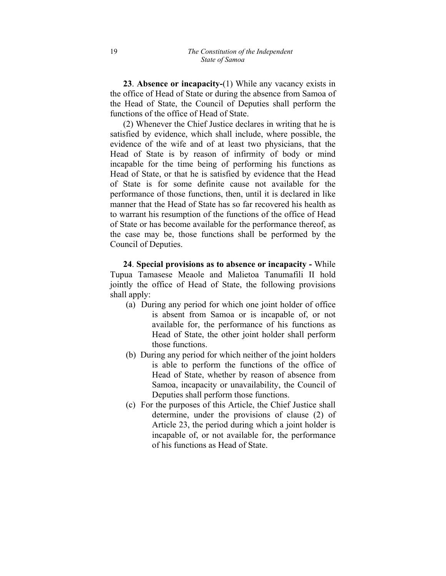**23**. **Absence or incapacity-**(1) While any vacancy exists in the office of Head of State or during the absence from Samoa of the Head of State, the Council of Deputies shall perform the functions of the office of Head of State.

(2) Whenever the Chief Justice declares in writing that he is satisfied by evidence, which shall include, where possible, the evidence of the wife and of at least two physicians, that the Head of State is by reason of infirmity of body or mind incapable for the time being of performing his functions as Head of State, or that he is satisfied by evidence that the Head of State is for some definite cause not available for the performance of those functions, then, until it is declared in like manner that the Head of State has so far recovered his health as to warrant his resumption of the functions of the office of Head of State or has become available for the performance thereof, as the case may be, those functions shall be performed by the Council of Deputies.

**24**. **Special provisions as to absence or incapacity -** While Tupua Tamasese Meaole and Malietoa Tanumafili II hold jointly the office of Head of State, the following provisions shall apply:

- (a) During any period for which one joint holder of office is absent from Samoa or is incapable of, or not available for, the performance of his functions as Head of State, the other joint holder shall perform those functions.
- (b) During any period for which neither of the joint holders is able to perform the functions of the office of Head of State, whether by reason of absence from Samoa, incapacity or unavailability, the Council of Deputies shall perform those functions.
- (c) For the purposes of this Article, the Chief Justice shall determine, under the provisions of clause (2) of Article 23, the period during which a joint holder is incapable of, or not available for, the performance of his functions as Head of State.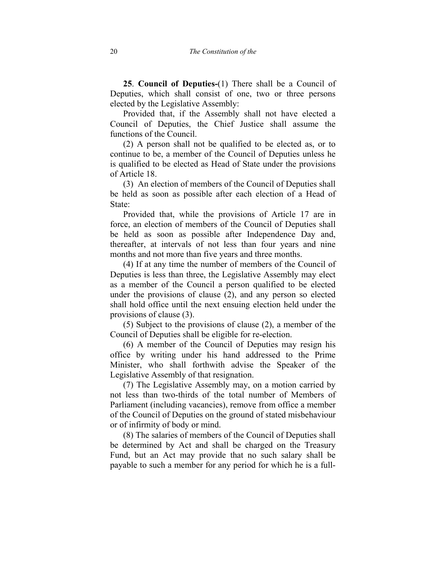**25**. **Council of Deputies-**(1) There shall be a Council of Deputies, which shall consist of one, two or three persons elected by the Legislative Assembly:

Provided that, if the Assembly shall not have elected a Council of Deputies, the Chief Justice shall assume the functions of the Council.

(2) A person shall not be qualified to be elected as, or to continue to be, a member of the Council of Deputies unless he is qualified to be elected as Head of State under the provisions of Article 18.

(3) An election of members of the Council of Deputies shall be held as soon as possible after each election of a Head of State:

Provided that, while the provisions of Article 17 are in force, an election of members of the Council of Deputies shall be held as soon as possible after Independence Day and, thereafter, at intervals of not less than four years and nine months and not more than five years and three months.

(4) If at any time the number of members of the Council of Deputies is less than three, the Legislative Assembly may elect as a member of the Council a person qualified to be elected under the provisions of clause (2), and any person so elected shall hold office until the next ensuing election held under the provisions of clause (3).

(5) Subject to the provisions of clause (2), a member of the Council of Deputies shall be eligible for re-election.

(6) A member of the Council of Deputies may resign his office by writing under his hand addressed to the Prime Minister, who shall forthwith advise the Speaker of the Legislative Assembly of that resignation.

(7) The Legislative Assembly may, on a motion carried by not less than two-thirds of the total number of Members of Parliament (including vacancies), remove from office a member of the Council of Deputies on the ground of stated misbehaviour or of infirmity of body or mind.

(8) The salaries of members of the Council of Deputies shall be determined by Act and shall be charged on the Treasury Fund, but an Act may provide that no such salary shall be payable to such a member for any period for which he is a full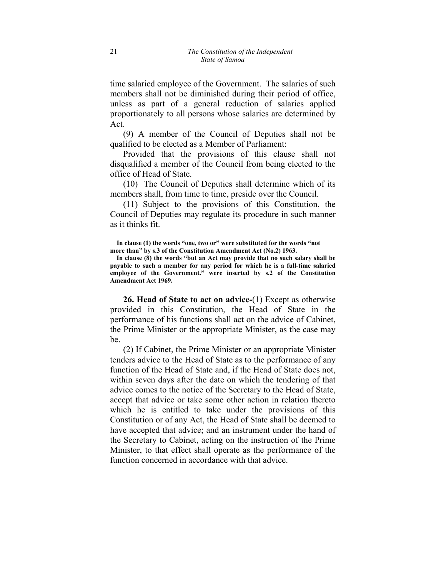time salaried employee of the Government. The salaries of such members shall not be diminished during their period of office, unless as part of a general reduction of salaries applied proportionately to all persons whose salaries are determined by Act.

(9) A member of the Council of Deputies shall not be qualified to be elected as a Member of Parliament:

Provided that the provisions of this clause shall not disqualified a member of the Council from being elected to the office of Head of State.

(10) The Council of Deputies shall determine which of its members shall, from time to time, preside over the Council.

(11) Subject to the provisions of this Constitution, the Council of Deputies may regulate its procedure in such manner as it thinks fit.

**26. Head of State to act on advice-**(1) Except as otherwise provided in this Constitution, the Head of State in the performance of his functions shall act on the advice of Cabinet, the Prime Minister or the appropriate Minister, as the case may be.

(2) If Cabinet, the Prime Minister or an appropriate Minister tenders advice to the Head of State as to the performance of any function of the Head of State and, if the Head of State does not, within seven days after the date on which the tendering of that advice comes to the notice of the Secretary to the Head of State, accept that advice or take some other action in relation thereto which he is entitled to take under the provisions of this Constitution or of any Act, the Head of State shall be deemed to have accepted that advice; and an instrument under the hand of the Secretary to Cabinet, acting on the instruction of the Prime Minister, to that effect shall operate as the performance of the function concerned in accordance with that advice.

**In clause (1) the words "one, two or" were substituted for the words "not more than" by s.3 of the Constitution Amendment Act (No.2) 1963.** 

**In clause (8) the words "but an Act may provide that no such salary shall be payable to such a member for any period for which he is a full-time salaried employee of the Government." were inserted by s.2 of the Constitution Amendment Act 1969.**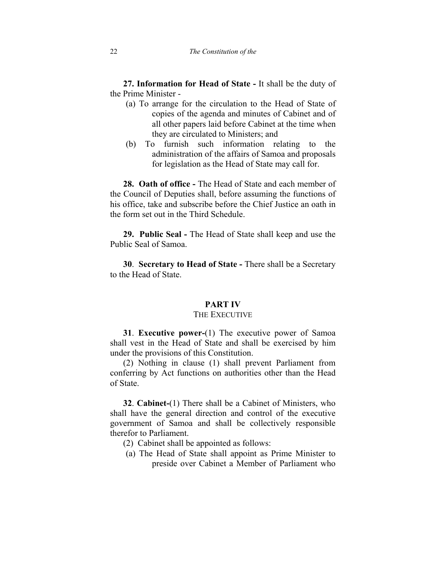**27. Information for Head of State -** It shall be the duty of the Prime Minister -

- (a) To arrange for the circulation to the Head of State of copies of the agenda and minutes of Cabinet and of all other papers laid before Cabinet at the time when they are circulated to Ministers; and
- (b) To furnish such information relating to the administration of the affairs of Samoa and proposals for legislation as the Head of State may call for.

**28. Oath of office -** The Head of State and each member of the Council of Deputies shall, before assuming the functions of his office, take and subscribe before the Chief Justice an oath in the form set out in the Third Schedule.

**29. Public Seal -** The Head of State shall keep and use the Public Seal of Samoa.

**30**. **Secretary to Head of State -** There shall be a Secretary to the Head of State.

## **PART IV**

## THE EXECUTIVE

**31**. **Executive power-**(1) The executive power of Samoa shall vest in the Head of State and shall be exercised by him under the provisions of this Constitution.

(2) Nothing in clause (1) shall prevent Parliament from conferring by Act functions on authorities other than the Head of State.

**32**. **Cabinet-**(1) There shall be a Cabinet of Ministers, who shall have the general direction and control of the executive government of Samoa and shall be collectively responsible therefor to Parliament.

- (2) Cabinet shall be appointed as follows:
- (a) The Head of State shall appoint as Prime Minister to preside over Cabinet a Member of Parliament who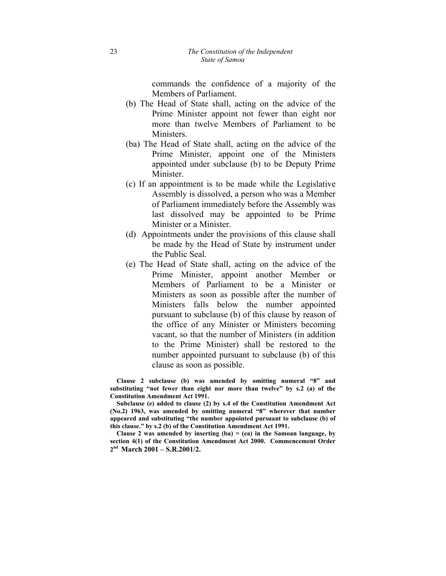commands the confidence of a majority of the Members of Parliament.

- (b) The Head of State shall, acting on the advice of the Prime Minister appoint not fewer than eight nor more than twelve Members of Parliament to be Ministers.
- (ba) The Head of State shall, acting on the advice of the Prime Minister, appoint one of the Ministers appointed under subclause (b) to be Deputy Prime Minister.
- (c) If an appointment is to be made while the Legislative Assembly is dissolved, a person who was a Member of Parliament immediately before the Assembly was last dissolved may be appointed to be Prime Minister or a Minister.
- (d) Appointments under the provisions of this clause shall be made by the Head of State by instrument under the Public Seal.
- (e) The Head of State shall, acting on the advice of the Prime Minister, appoint another Member or Members of Parliament to be a Minister or Ministers as soon as possible after the number of Ministers falls below the number appointed pursuant to subclause (b) of this clause by reason of the office of any Minister or Ministers becoming vacant, so that the number of Ministers (in addition to the Prime Minister) shall be restored to the number appointed pursuant to subclause (b) of this clause as soon as possible.

 **Clause 2 subclause (b) was amended by omitting numeral "8" and substituting "not fewer than eight nor more than twelve" by s.2 (a) of the Constitution Amendment Act 1991.** 

 **Subclause (e) added to clause (2) by s.4 of the Constitution Amendment Act (No.2) 1963, was amended by omitting numeral "8" wherever that number appeared and substituting "the number appointed pursuant to subclause (b) of this clause." by s.2 (b) of the Constitution Amendment Act 1991.** 

 **Clause 2 was amended by inserting (ba) = (ea) in the Samoan language, by section 4(1) of the Constitution Amendment Act 2000. Commencement Order 2nd March 2001 – S.R.2001/2.**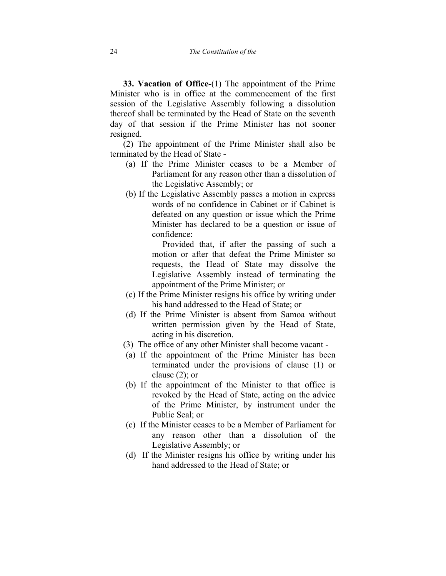**33. Vacation of Office-**(1) The appointment of the Prime Minister who is in office at the commencement of the first session of the Legislative Assembly following a dissolution thereof shall be terminated by the Head of State on the seventh day of that session if the Prime Minister has not sooner resigned.

(2) The appointment of the Prime Minister shall also be terminated by the Head of State -

- (a) If the Prime Minister ceases to be a Member of Parliament for any reason other than a dissolution of the Legislative Assembly; or
- (b) If the Legislative Assembly passes a motion in express words of no confidence in Cabinet or if Cabinet is defeated on any question or issue which the Prime Minister has declared to be a question or issue of confidence:

Provided that, if after the passing of such a motion or after that defeat the Prime Minister so requests, the Head of State may dissolve the Legislative Assembly instead of terminating the appointment of the Prime Minister; or

- (c) If the Prime Minister resigns his office by writing under his hand addressed to the Head of State; or
- (d) If the Prime Minister is absent from Samoa without written permission given by the Head of State, acting in his discretion.
- (3) The office of any other Minister shall become vacant -
- (a) If the appointment of the Prime Minister has been terminated under the provisions of clause (1) or clause (2); or
- (b) If the appointment of the Minister to that office is revoked by the Head of State, acting on the advice of the Prime Minister, by instrument under the Public Seal; or
- (c) If the Minister ceases to be a Member of Parliament for any reason other than a dissolution of the Legislative Assembly; or
- (d) If the Minister resigns his office by writing under his hand addressed to the Head of State; or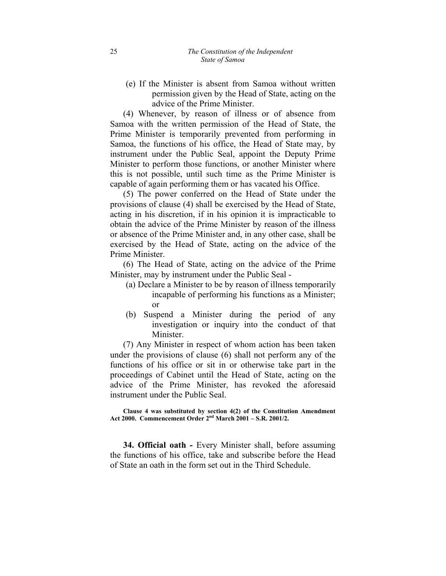(e) If the Minister is absent from Samoa without written permission given by the Head of State, acting on the advice of the Prime Minister.

(4) Whenever, by reason of illness or of absence from Samoa with the written permission of the Head of State, the Prime Minister is temporarily prevented from performing in Samoa, the functions of his office, the Head of State may, by instrument under the Public Seal, appoint the Deputy Prime Minister to perform those functions, or another Minister where this is not possible, until such time as the Prime Minister is capable of again performing them or has vacated his Office.

(5) The power conferred on the Head of State under the provisions of clause (4) shall be exercised by the Head of State, acting in his discretion, if in his opinion it is impracticable to obtain the advice of the Prime Minister by reason of the illness or absence of the Prime Minister and, in any other case, shall be exercised by the Head of State, acting on the advice of the Prime Minister.

(6) The Head of State, acting on the advice of the Prime Minister, may by instrument under the Public Seal -

- (a) Declare a Minister to be by reason of illness temporarily incapable of performing his functions as a Minister; or
- (b) Suspend a Minister during the period of any investigation or inquiry into the conduct of that Minister.

(7) Any Minister in respect of whom action has been taken under the provisions of clause (6) shall not perform any of the functions of his office or sit in or otherwise take part in the proceedings of Cabinet until the Head of State, acting on the advice of the Prime Minister, has revoked the aforesaid instrument under the Public Seal.

**Clause 4 was substituted by section 4(2) of the Constitution Amendment Act 2000. Commencement Order 2nd March 2001 – S.R. 2001/2.** 

**34. Official oath -** Every Minister shall, before assuming the functions of his office, take and subscribe before the Head of State an oath in the form set out in the Third Schedule.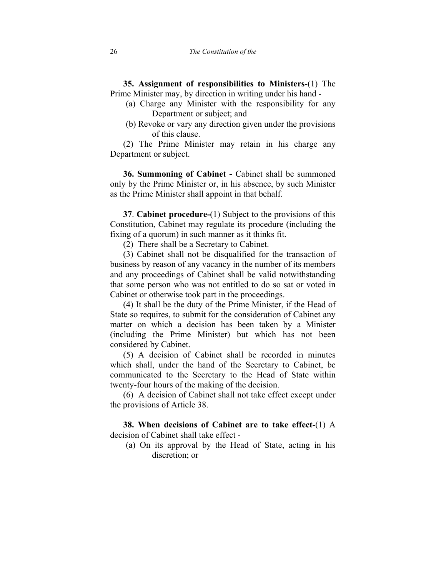**35. Assignment of responsibilities to Ministers-**(1) The Prime Minister may, by direction in writing under his hand -

- (a) Charge any Minister with the responsibility for any Department or subject; and
- (b) Revoke or vary any direction given under the provisions of this clause.

(2) The Prime Minister may retain in his charge any Department or subject.

**36. Summoning of Cabinet -** Cabinet shall be summoned only by the Prime Minister or, in his absence, by such Minister as the Prime Minister shall appoint in that behalf.

**37**. **Cabinet procedure-**(1) Subject to the provisions of this Constitution, Cabinet may regulate its procedure (including the fixing of a quorum) in such manner as it thinks fit.

(2) There shall be a Secretary to Cabinet.

(3) Cabinet shall not be disqualified for the transaction of business by reason of any vacancy in the number of its members and any proceedings of Cabinet shall be valid notwithstanding that some person who was not entitled to do so sat or voted in Cabinet or otherwise took part in the proceedings.

(4) It shall be the duty of the Prime Minister, if the Head of State so requires, to submit for the consideration of Cabinet any matter on which a decision has been taken by a Minister (including the Prime Minister) but which has not been considered by Cabinet.

(5) A decision of Cabinet shall be recorded in minutes which shall, under the hand of the Secretary to Cabinet, be communicated to the Secretary to the Head of State within twenty-four hours of the making of the decision.

(6) A decision of Cabinet shall not take effect except under the provisions of Article 38.

**38. When decisions of Cabinet are to take effect-**(1) A decision of Cabinet shall take effect -

(a) On its approval by the Head of State, acting in his discretion; or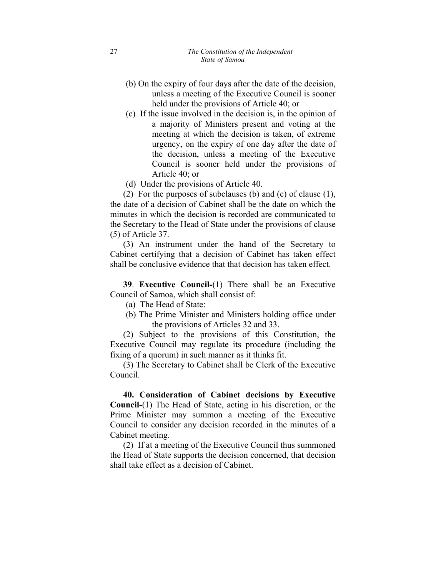- (b) On the expiry of four days after the date of the decision, unless a meeting of the Executive Council is sooner held under the provisions of Article 40; or
- (c) If the issue involved in the decision is, in the opinion of a majority of Ministers present and voting at the meeting at which the decision is taken, of extreme urgency, on the expiry of one day after the date of the decision, unless a meeting of the Executive Council is sooner held under the provisions of Article 40; or

(d) Under the provisions of Article 40.

(2) For the purposes of subclauses (b) and (c) of clause (1), the date of a decision of Cabinet shall be the date on which the minutes in which the decision is recorded are communicated to the Secretary to the Head of State under the provisions of clause (5) of Article 37.

(3) An instrument under the hand of the Secretary to Cabinet certifying that a decision of Cabinet has taken effect shall be conclusive evidence that that decision has taken effect.

**39**. **Executive Council-**(1) There shall be an Executive Council of Samoa, which shall consist of:

- (a) The Head of State:
- (b) The Prime Minister and Ministers holding office under the provisions of Articles 32 and 33.

(2) Subject to the provisions of this Constitution, the Executive Council may regulate its procedure (including the fixing of a quorum) in such manner as it thinks fit.

(3) The Secretary to Cabinet shall be Clerk of the Executive Council.

**40. Consideration of Cabinet decisions by Executive Council-**(1) The Head of State, acting in his discretion, or the Prime Minister may summon a meeting of the Executive Council to consider any decision recorded in the minutes of a Cabinet meeting.

(2) If at a meeting of the Executive Council thus summoned the Head of State supports the decision concerned, that decision shall take effect as a decision of Cabinet.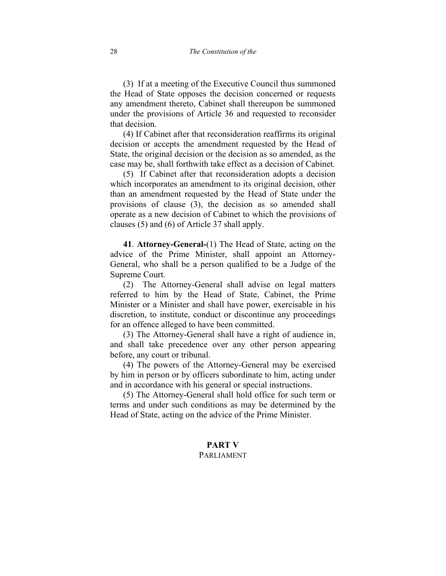(3) If at a meeting of the Executive Council thus summoned the Head of State opposes the decision concerned or requests any amendment thereto, Cabinet shall thereupon be summoned under the provisions of Article 36 and requested to reconsider that decision.

(4) If Cabinet after that reconsideration reaffirms its original decision or accepts the amendment requested by the Head of State, the original decision or the decision as so amended, as the case may be, shall forthwith take effect as a decision of Cabinet.

(5) If Cabinet after that reconsideration adopts a decision which incorporates an amendment to its original decision, other than an amendment requested by the Head of State under the provisions of clause (3), the decision as so amended shall operate as a new decision of Cabinet to which the provisions of clauses (5) and (6) of Article 37 shall apply.

**41**. **Attorney-General-**(1) The Head of State, acting on the advice of the Prime Minister, shall appoint an Attorney-General, who shall be a person qualified to be a Judge of the Supreme Court.

(2) The Attorney-General shall advise on legal matters referred to him by the Head of State, Cabinet, the Prime Minister or a Minister and shall have power, exercisable in his discretion, to institute, conduct or discontinue any proceedings for an offence alleged to have been committed.

(3) The Attorney-General shall have a right of audience in, and shall take precedence over any other person appearing before, any court or tribunal.

(4) The powers of the Attorney-General may be exercised by him in person or by officers subordinate to him, acting under and in accordance with his general or special instructions.

(5) The Attorney-General shall hold office for such term or terms and under such conditions as may be determined by the Head of State, acting on the advice of the Prime Minister.

## **PART V**

## PARLIAMENT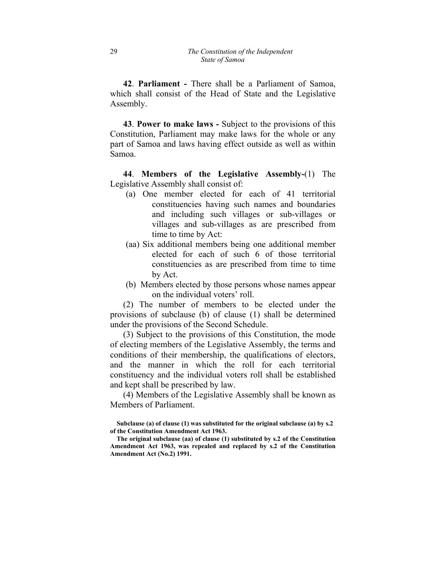**42**. **Parliament -** There shall be a Parliament of Samoa, which shall consist of the Head of State and the Legislative Assembly.

**43**. **Power to make laws -** Subject to the provisions of this Constitution, Parliament may make laws for the whole or any part of Samoa and laws having effect outside as well as within Samoa.

**44**. **Members of the Legislative Assembly-**(1) The Legislative Assembly shall consist of:

- (a) One member elected for each of 41 territorial constituencies having such names and boundaries and including such villages or sub-villages or villages and sub-villages as are prescribed from time to time by Act:
- (aa) Six additional members being one additional member elected for each of such 6 of those territorial constituencies as are prescribed from time to time by Act.
- (b) Members elected by those persons whose names appear on the individual voters' roll.

(2) The number of members to be elected under the provisions of subclause (b) of clause (1) shall be determined under the provisions of the Second Schedule.

(3) Subject to the provisions of this Constitution, the mode of electing members of the Legislative Assembly, the terms and conditions of their membership, the qualifications of electors, and the manner in which the roll for each territorial constituency and the individual voters roll shall be established and kept shall be prescribed by law.

(4) Members of the Legislative Assembly shall be known as Members of Parliament.

 **Subclause (a) of clause (1) was substituted for the original subclause (a) by s.2 of the Constitution Amendment Act 1963.** 

**The original subclause (aa) of clause (1) substituted by s.2 of the Constitution Amendment Act 1963, was repealed and replaced by s.2 of the Constitution Amendment Act (No.2) 1991.**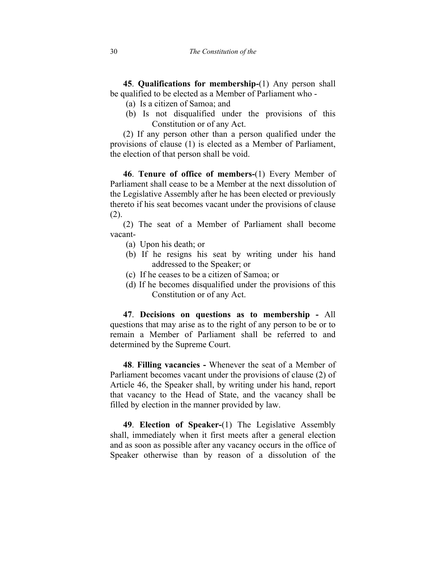**45**. **Qualifications for membership-**(1) Any person shall be qualified to be elected as a Member of Parliament who -

- (a) Is a citizen of Samoa; and
- (b) Is not disqualified under the provisions of this Constitution or of any Act.

(2) If any person other than a person qualified under the provisions of clause (1) is elected as a Member of Parliament, the election of that person shall be void.

**46**. **Tenure of office of members-**(1) Every Member of Parliament shall cease to be a Member at the next dissolution of the Legislative Assembly after he has been elected or previously thereto if his seat becomes vacant under the provisions of clause (2).

(2) The seat of a Member of Parliament shall become vacant-

- (a) Upon his death; or
- (b) If he resigns his seat by writing under his hand addressed to the Speaker; or
- (c) If he ceases to be a citizen of Samoa; or
- (d) If he becomes disqualified under the provisions of this Constitution or of any Act.

**47**. **Decisions on questions as to membership -** All questions that may arise as to the right of any person to be or to remain a Member of Parliament shall be referred to and determined by the Supreme Court.

**48**. **Filling vacancies -** Whenever the seat of a Member of Parliament becomes vacant under the provisions of clause (2) of Article 46, the Speaker shall, by writing under his hand, report that vacancy to the Head of State, and the vacancy shall be filled by election in the manner provided by law.

**49**. **Election of Speaker-**(1) The Legislative Assembly shall, immediately when it first meets after a general election and as soon as possible after any vacancy occurs in the office of Speaker otherwise than by reason of a dissolution of the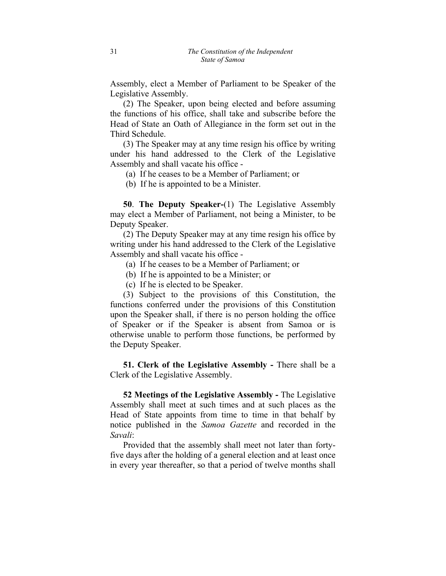Assembly, elect a Member of Parliament to be Speaker of the Legislative Assembly.

(2) The Speaker, upon being elected and before assuming the functions of his office, shall take and subscribe before the Head of State an Oath of Allegiance in the form set out in the Third Schedule.

(3) The Speaker may at any time resign his office by writing under his hand addressed to the Clerk of the Legislative Assembly and shall vacate his office -

(a) If he ceases to be a Member of Parliament; or

(b) If he is appointed to be a Minister.

**50**. **The Deputy Speaker-**(1) The Legislative Assembly may elect a Member of Parliament, not being a Minister, to be Deputy Speaker.

(2) The Deputy Speaker may at any time resign his office by writing under his hand addressed to the Clerk of the Legislative Assembly and shall vacate his office -

(a) If he ceases to be a Member of Parliament; or

(b) If he is appointed to be a Minister; or

(c) If he is elected to be Speaker.

(3) Subject to the provisions of this Constitution, the functions conferred under the provisions of this Constitution upon the Speaker shall, if there is no person holding the office of Speaker or if the Speaker is absent from Samoa or is otherwise unable to perform those functions, be performed by the Deputy Speaker.

**51. Clerk of the Legislative Assembly -** There shall be a Clerk of the Legislative Assembly.

**52 Meetings of the Legislative Assembly -** The Legislative Assembly shall meet at such times and at such places as the Head of State appoints from time to time in that behalf by notice published in the *Samoa Gazette* and recorded in the *Savali*:

Provided that the assembly shall meet not later than fortyfive days after the holding of a general election and at least once in every year thereafter, so that a period of twelve months shall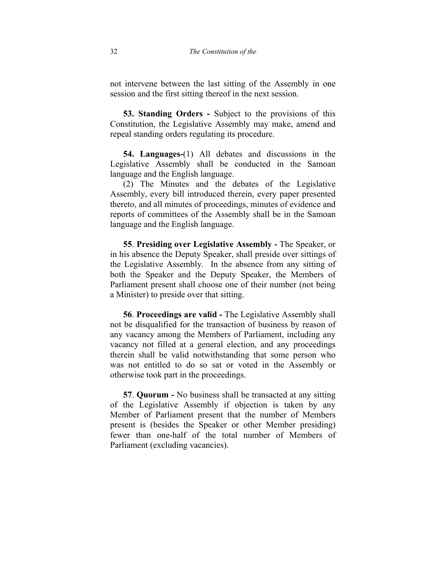not intervene between the last sitting of the Assembly in one session and the first sitting thereof in the next session.

**53. Standing Orders -** Subject to the provisions of this Constitution, the Legislative Assembly may make, amend and repeal standing orders regulating its procedure.

**54. Languages-**(1) All debates and discussions in the Legislative Assembly shall be conducted in the Samoan language and the English language.

(2) The Minutes and the debates of the Legislative Assembly, every bill introduced therein, every paper presented thereto, and all minutes of proceedings, minutes of evidence and reports of committees of the Assembly shall be in the Samoan language and the English language.

**55**. **Presiding over Legislative Assembly -** The Speaker, or in his absence the Deputy Speaker, shall preside over sittings of the Legislative Assembly. In the absence from any sitting of both the Speaker and the Deputy Speaker, the Members of Parliament present shall choose one of their number (not being a Minister) to preside over that sitting.

**56**. **Proceedings are valid -** The Legislative Assembly shall not be disqualified for the transaction of business by reason of any vacancy among the Members of Parliament, including any vacancy not filled at a general election, and any proceedings therein shall be valid notwithstanding that some person who was not entitled to do so sat or voted in the Assembly or otherwise took part in the proceedings.

**57**. **Quorum -** No business shall be transacted at any sitting of the Legislative Assembly if objection is taken by any Member of Parliament present that the number of Members present is (besides the Speaker or other Member presiding) fewer than one-half of the total number of Members of Parliament (excluding vacancies).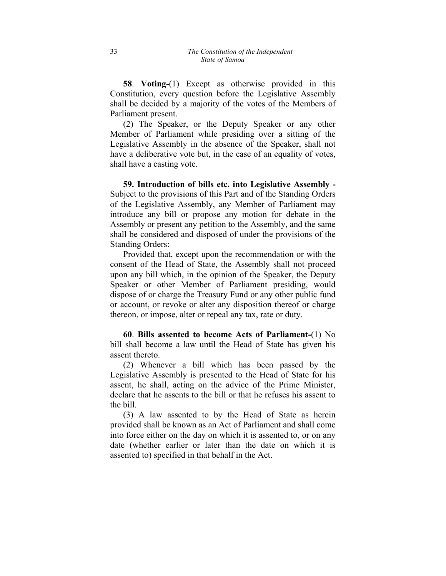**58**. **Voting-**(1) Except as otherwise provided in this Constitution, every question before the Legislative Assembly shall be decided by a majority of the votes of the Members of Parliament present.

(2) The Speaker, or the Deputy Speaker or any other Member of Parliament while presiding over a sitting of the Legislative Assembly in the absence of the Speaker, shall not have a deliberative vote but, in the case of an equality of votes, shall have a casting vote.

**59. Introduction of bills etc. into Legislative Assembly -**  Subject to the provisions of this Part and of the Standing Orders of the Legislative Assembly, any Member of Parliament may introduce any bill or propose any motion for debate in the Assembly or present any petition to the Assembly, and the same shall be considered and disposed of under the provisions of the Standing Orders:

Provided that, except upon the recommendation or with the consent of the Head of State, the Assembly shall not proceed upon any bill which, in the opinion of the Speaker, the Deputy Speaker or other Member of Parliament presiding, would dispose of or charge the Treasury Fund or any other public fund or account, or revoke or alter any disposition thereof or charge thereon, or impose, alter or repeal any tax, rate or duty.

**60**. **Bills assented to become Acts of Parliament-**(1) No bill shall become a law until the Head of State has given his assent thereto.

(2) Whenever a bill which has been passed by the Legislative Assembly is presented to the Head of State for his assent, he shall, acting on the advice of the Prime Minister, declare that he assents to the bill or that he refuses his assent to the bill.

(3) A law assented to by the Head of State as herein provided shall be known as an Act of Parliament and shall come into force either on the day on which it is assented to, or on any date (whether earlier or later than the date on which it is assented to) specified in that behalf in the Act.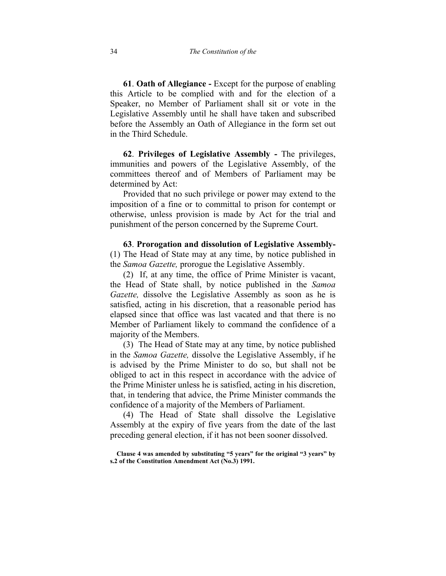**61**. **Oath of Allegiance -** Except for the purpose of enabling this Article to be complied with and for the election of a Speaker, no Member of Parliament shall sit or vote in the Legislative Assembly until he shall have taken and subscribed before the Assembly an Oath of Allegiance in the form set out in the Third Schedule.

**62**. **Privileges of Legislative Assembly -** The privileges, immunities and powers of the Legislative Assembly, of the committees thereof and of Members of Parliament may be determined by Act:

Provided that no such privilege or power may extend to the imposition of a fine or to committal to prison for contempt or otherwise, unless provision is made by Act for the trial and punishment of the person concerned by the Supreme Court.

**63**. **Prorogation and dissolution of Legislative Assembly-** (1) The Head of State may at any time, by notice published in the *Samoa Gazette,* prorogue the Legislative Assembly.

(2) If, at any time, the office of Prime Minister is vacant, the Head of State shall, by notice published in the *Samoa Gazette,* dissolve the Legislative Assembly as soon as he is satisfied, acting in his discretion, that a reasonable period has elapsed since that office was last vacated and that there is no Member of Parliament likely to command the confidence of a majority of the Members.

(3) The Head of State may at any time, by notice published in the *Samoa Gazette,* dissolve the Legislative Assembly, if he is advised by the Prime Minister to do so, but shall not be obliged to act in this respect in accordance with the advice of the Prime Minister unless he is satisfied, acting in his discretion, that, in tendering that advice, the Prime Minister commands the confidence of a majority of the Members of Parliament.

(4) The Head of State shall dissolve the Legislative Assembly at the expiry of five years from the date of the last preceding general election, if it has not been sooner dissolved.

**Clause 4 was amended by substituting "5 years" for the original "3 years" by s.2 of the Constitution Amendment Act (No.3) 1991.**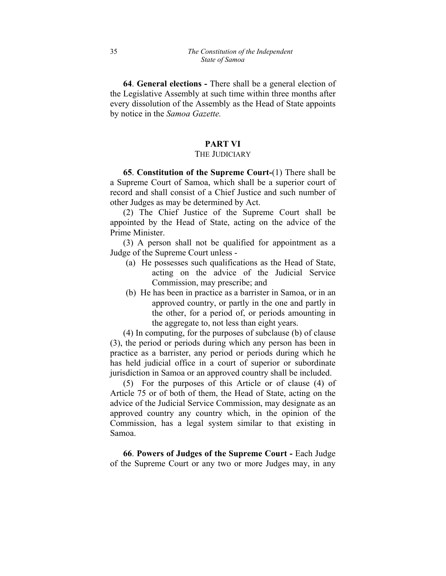**64**. **General elections -** There shall be a general election of the Legislative Assembly at such time within three months after every dissolution of the Assembly as the Head of State appoints by notice in the *Samoa Gazette.* 

## **PART VI**

## THE JUDICIARY

**65**. **Constitution of the Supreme Court-**(1) There shall be a Supreme Court of Samoa, which shall be a superior court of record and shall consist of a Chief Justice and such number of other Judges as may be determined by Act.

(2) The Chief Justice of the Supreme Court shall be appointed by the Head of State, acting on the advice of the Prime Minister.

(3) A person shall not be qualified for appointment as a Judge of the Supreme Court unless -

- (a) He possesses such qualifications as the Head of State, acting on the advice of the Judicial Service Commission, may prescribe; and
- (b) He has been in practice as a barrister in Samoa, or in an approved country, or partly in the one and partly in the other, for a period of, or periods amounting in the aggregate to, not less than eight years.

(4) In computing, for the purposes of subclause (b) of clause (3), the period or periods during which any person has been in practice as a barrister, any period or periods during which he has held judicial office in a court of superior or subordinate jurisdiction in Samoa or an approved country shall be included.

(5) For the purposes of this Article or of clause (4) of Article 75 or of both of them, the Head of State, acting on the advice of the Judicial Service Commission, may designate as an approved country any country which, in the opinion of the Commission, has a legal system similar to that existing in Samoa.

**66**. **Powers of Judges of the Supreme Court -** Each Judge of the Supreme Court or any two or more Judges may, in any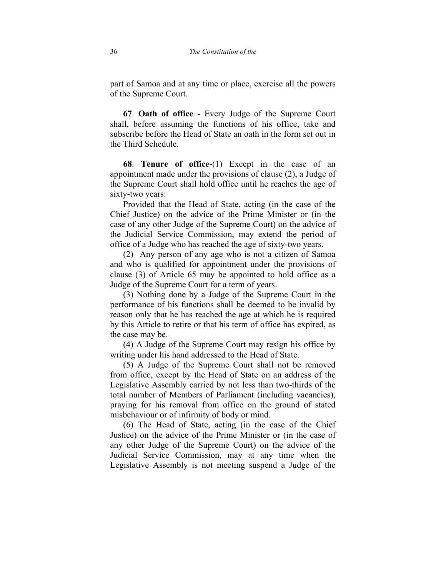part of Samoa and at any time or place, exercise all the powers of the Supreme Court.

**67**. **Oath of office -** Every Judge of the Supreme Court shall, before assuming the functions of his office, take and subscribe before the Head of State an oath in the form set out in the Third Schedule.

**68**. **Tenure of office-**(1) Except in the case of an appointment made under the provisions of clause (2), a Judge of the Supreme Court shall hold office until he reaches the age of sixty-two years:

Provided that the Head of State, acting (in the case of the Chief Justice) on the advice of the Prime Minister or (in the case of any other Judge of the Supreme Court) on the advice of the Judicial Service Commission, may extend the period of office of a Judge who has reached the age of sixty-two years.

(2) Any person of any age who is not a citizen of Samoa and who is qualified for appointment under the provisions of clause (3) of Article 65 may be appointed to hold office as a Judge of the Supreme Court for a term of years.

(3) Nothing done by a Judge of the Supreme Court in the performance of his functions shall be deemed to be invalid by reason only that he has reached the age at which he is required by this Article to retire or that his term of office has expired, as the case may be.

(4) A Judge of the Supreme Court may resign his office by writing under his hand addressed to the Head of State.

(5) A Judge of the Supreme Court shall not be removed from office, except by the Head of State on an address of the Legislative Assembly carried by not less than two-thirds of the total number of Members of Parliament (including vacancies), praying for his removal from office on the ground of stated misbehaviour or of infirmity of body or mind.

(6) The Head of State, acting (in the case of the Chief Justice) on the advice of the Prime Minister or (in the case of any other Judge of the Supreme Court) on the advice of the Judicial Service Commission, may at any time when the Legislative Assembly is not meeting suspend a Judge of the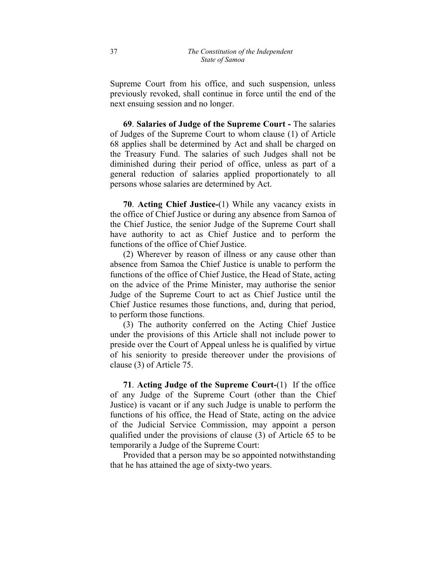Supreme Court from his office, and such suspension, unless previously revoked, shall continue in force until the end of the next ensuing session and no longer.

**69**. **Salaries of Judge of the Supreme Court -** The salaries of Judges of the Supreme Court to whom clause (1) of Article 68 applies shall be determined by Act and shall be charged on the Treasury Fund. The salaries of such Judges shall not be diminished during their period of office, unless as part of a general reduction of salaries applied proportionately to all persons whose salaries are determined by Act.

**70**. **Acting Chief Justice-**(1) While any vacancy exists in the office of Chief Justice or during any absence from Samoa of the Chief Justice, the senior Judge of the Supreme Court shall have authority to act as Chief Justice and to perform the functions of the office of Chief Justice.

(2) Wherever by reason of illness or any cause other than absence from Samoa the Chief Justice is unable to perform the functions of the office of Chief Justice, the Head of State, acting on the advice of the Prime Minister, may authorise the senior Judge of the Supreme Court to act as Chief Justice until the Chief Justice resumes those functions, and, during that period, to perform those functions.

(3) The authority conferred on the Acting Chief Justice under the provisions of this Article shall not include power to preside over the Court of Appeal unless he is qualified by virtue of his seniority to preside thereover under the provisions of clause (3) of Article 75.

**71**. **Acting Judge of the Supreme Court-**(1) If the office of any Judge of the Supreme Court (other than the Chief Justice) is vacant or if any such Judge is unable to perform the functions of his office, the Head of State, acting on the advice of the Judicial Service Commission, may appoint a person qualified under the provisions of clause (3) of Article 65 to be temporarily a Judge of the Supreme Court:

Provided that a person may be so appointed notwithstanding that he has attained the age of sixty-two years.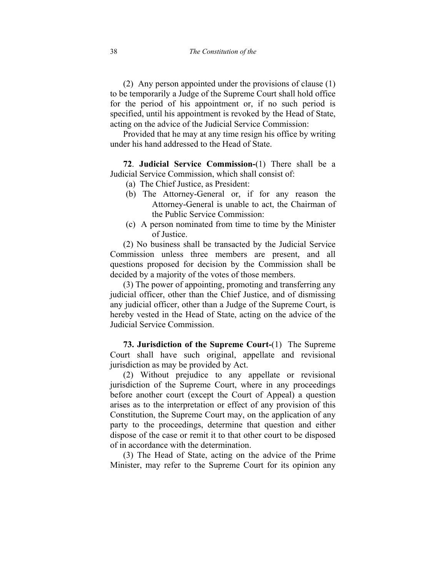(2) Any person appointed under the provisions of clause (1) to be temporarily a Judge of the Supreme Court shall hold office for the period of his appointment or, if no such period is specified, until his appointment is revoked by the Head of State, acting on the advice of the Judicial Service Commission:

Provided that he may at any time resign his office by writing under his hand addressed to the Head of State.

**72**. **Judicial Service Commission-**(1) There shall be a Judicial Service Commission, which shall consist of:

- (a) The Chief Justice, as President:
- (b) The Attorney-General or, if for any reason the Attorney-General is unable to act, the Chairman of the Public Service Commission:
- (c) A person nominated from time to time by the Minister of Justice.

(2) No business shall be transacted by the Judicial Service Commission unless three members are present, and all questions proposed for decision by the Commission shall be decided by a majority of the votes of those members.

(3) The power of appointing, promoting and transferring any judicial officer, other than the Chief Justice, and of dismissing any judicial officer, other than a Judge of the Supreme Court, is hereby vested in the Head of State, acting on the advice of the Judicial Service Commission.

**73. Jurisdiction of the Supreme Court-**(1) The Supreme Court shall have such original, appellate and revisional jurisdiction as may be provided by Act.

(2) Without prejudice to any appellate or revisional jurisdiction of the Supreme Court, where in any proceedings before another court (except the Court of Appeal) a question arises as to the interpretation or effect of any provision of this Constitution, the Supreme Court may, on the application of any party to the proceedings, determine that question and either dispose of the case or remit it to that other court to be disposed of in accordance with the determination.

(3) The Head of State, acting on the advice of the Prime Minister, may refer to the Supreme Court for its opinion any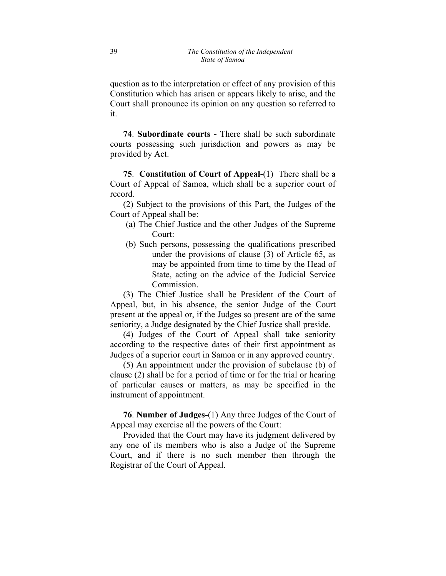question as to the interpretation or effect of any provision of this Constitution which has arisen or appears likely to arise, and the Court shall pronounce its opinion on any question so referred to it.

**74**. **Subordinate courts -** There shall be such subordinate courts possessing such jurisdiction and powers as may be provided by Act.

**75**. **Constitution of Court of Appeal-**(1) There shall be a Court of Appeal of Samoa, which shall be a superior court of record.

(2) Subject to the provisions of this Part, the Judges of the Court of Appeal shall be:

- (a) The Chief Justice and the other Judges of the Supreme Court:
- (b) Such persons, possessing the qualifications prescribed under the provisions of clause (3) of Article 65, as may be appointed from time to time by the Head of State, acting on the advice of the Judicial Service Commission.

(3) The Chief Justice shall be President of the Court of Appeal, but, in his absence, the senior Judge of the Court present at the appeal or, if the Judges so present are of the same seniority, a Judge designated by the Chief Justice shall preside.

(4) Judges of the Court of Appeal shall take seniority according to the respective dates of their first appointment as Judges of a superior court in Samoa or in any approved country.

(5) An appointment under the provision of subclause (b) of clause (2) shall be for a period of time or for the trial or hearing of particular causes or matters, as may be specified in the instrument of appointment.

**76**. **Number of Judges-**(1) Any three Judges of the Court of Appeal may exercise all the powers of the Court:

Provided that the Court may have its judgment delivered by any one of its members who is also a Judge of the Supreme Court, and if there is no such member then through the Registrar of the Court of Appeal.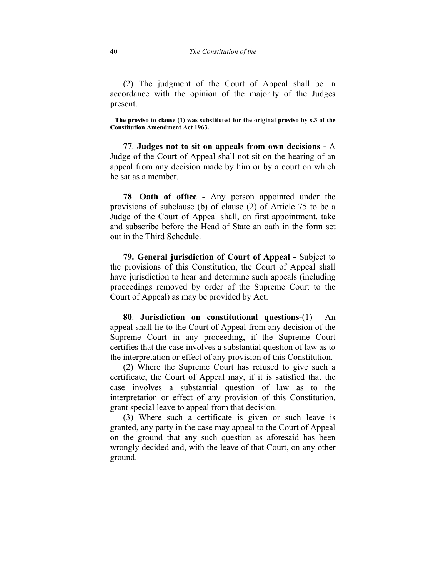(2) The judgment of the Court of Appeal shall be in accordance with the opinion of the majority of the Judges present.

 **The proviso to clause (1) was substituted for the original proviso by s.3 of the Constitution Amendment Act 1963.**

**77**. **Judges not to sit on appeals from own decisions -** A Judge of the Court of Appeal shall not sit on the hearing of an appeal from any decision made by him or by a court on which he sat as a member.

**78**. **Oath of office -** Any person appointed under the provisions of subclause (b) of clause (2) of Article 75 to be a Judge of the Court of Appeal shall, on first appointment, take and subscribe before the Head of State an oath in the form set out in the Third Schedule.

**79. General jurisdiction of Court of Appeal -** Subject to the provisions of this Constitution, the Court of Appeal shall have jurisdiction to hear and determine such appeals (including proceedings removed by order of the Supreme Court to the Court of Appeal) as may be provided by Act.

**80**. **Jurisdiction on constitutional questions-**(1) An appeal shall lie to the Court of Appeal from any decision of the Supreme Court in any proceeding, if the Supreme Court certifies that the case involves a substantial question of law as to the interpretation or effect of any provision of this Constitution.

(2) Where the Supreme Court has refused to give such a certificate, the Court of Appeal may, if it is satisfied that the case involves a substantial question of law as to the interpretation or effect of any provision of this Constitution, grant special leave to appeal from that decision.

(3) Where such a certificate is given or such leave is granted, any party in the case may appeal to the Court of Appeal on the ground that any such question as aforesaid has been wrongly decided and, with the leave of that Court, on any other ground.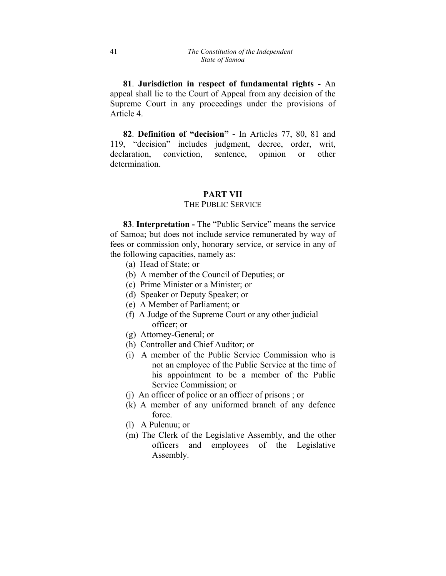**81**. **Jurisdiction in respect of fundamental rights -** An appeal shall lie to the Court of Appeal from any decision of the Supreme Court in any proceedings under the provisions of Article 4.

**82**. **Definition of "decision" -** In Articles 77, 80, 81 and 119, "decision" includes judgment, decree, order, writ, declaration, conviction, sentence, opinion or other determination.

## **PART VII**

## THE PUBLIC SERVICE

**83**. **Interpretation -** The "Public Service" means the service of Samoa; but does not include service remunerated by way of fees or commission only, honorary service, or service in any of the following capacities, namely as:

- (a) Head of State; or
- (b) A member of the Council of Deputies; or
- (c) Prime Minister or a Minister; or
- (d) Speaker or Deputy Speaker; or
- (e) A Member of Parliament; or
- (f) A Judge of the Supreme Court or any other judicial officer; or
- (g) Attorney-General; or
- (h) Controller and Chief Auditor; or
- (i) A member of the Public Service Commission who is not an employee of the Public Service at the time of his appointment to be a member of the Public Service Commission; or
- (j) An officer of police or an officer of prisons ; or
- (k) A member of any uniformed branch of any defence force.
- (l) A Pulenuu; or
- (m) The Clerk of the Legislative Assembly, and the other officers and employees of the Legislative Assembly.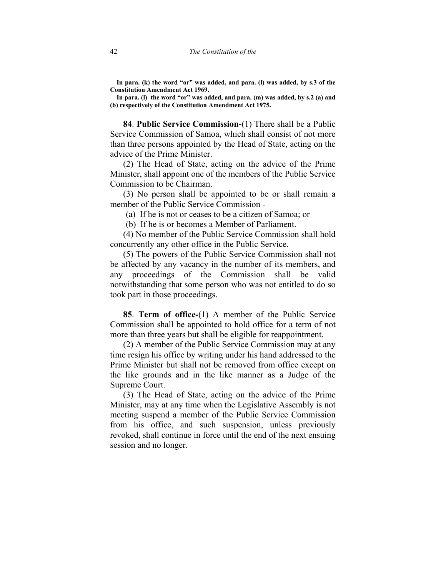**In para. (k) the word "or" was added, and para. (l) was added, by s.3 of the Constitution Amendment Act 1969.** 

 **In para. (l) the word "or" was added, and para. (m) was added, by s.2 (a) and (b) respectively of the Constitution Amendment Act 1975.**

**84**. **Public Service Commission-**(1) There shall be a Public Service Commission of Samoa, which shall consist of not more than three persons appointed by the Head of State, acting on the advice of the Prime Minister.

(2) The Head of State, acting on the advice of the Prime Minister, shall appoint one of the members of the Public Service Commission to be Chairman.

(3) No person shall be appointed to be or shall remain a member of the Public Service Commission -

(a) If he is not or ceases to be a citizen of Samoa; or

(b) If he is or becomes a Member of Parliament.

(4) No member of the Public Service Commission shall hold concurrently any other office in the Public Service.

(5) The powers of the Public Service Commission shall not be affected by any vacancy in the number of its members, and any proceedings of the Commission shall be valid notwithstanding that some person who was not entitled to do so took part in those proceedings.

**85**. **Term of office-**(1) A member of the Public Service Commission shall be appointed to hold office for a term of not more than three years but shall be eligible for reappointment.

(2) A member of the Public Service Commission may at any time resign his office by writing under his hand addressed to the Prime Minister but shall not be removed from office except on the like grounds and in the like manner as a Judge of the Supreme Court.

(3) The Head of State, acting on the advice of the Prime Minister, may at any time when the Legislative Assembly is not meeting suspend a member of the Public Service Commission from his office, and such suspension, unless previously revoked, shall continue in force until the end of the next ensuing session and no longer.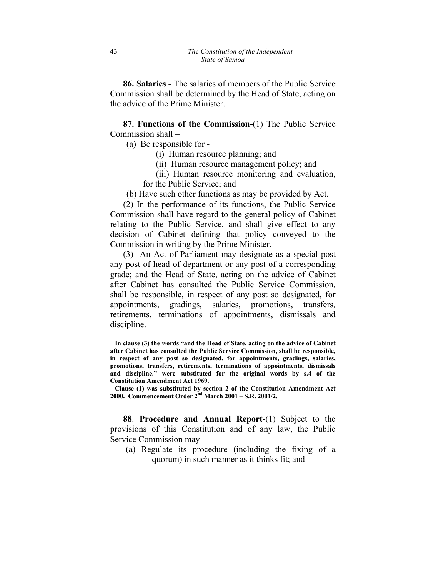**86. Salaries -** The salaries of members of the Public Service Commission shall be determined by the Head of State, acting on the advice of the Prime Minister.

**87. Functions of the Commission-**(1) The Public Service Commission shall –

(a) Be responsible for -

(i) Human resource planning; and

(ii) Human resource management policy; and

(iii) Human resource monitoring and evaluation, for the Public Service; and

(b) Have such other functions as may be provided by Act.

(2) In the performance of its functions, the Public Service Commission shall have regard to the general policy of Cabinet relating to the Public Service, and shall give effect to any decision of Cabinet defining that policy conveyed to the Commission in writing by the Prime Minister.

(3) An Act of Parliament may designate as a special post any post of head of department or any post of a corresponding grade; and the Head of State, acting on the advice of Cabinet after Cabinet has consulted the Public Service Commission, shall be responsible, in respect of any post so designated, for appointments, gradings, salaries, promotions, transfers, retirements, terminations of appointments, dismissals and discipline.

 **Clause (1) was substituted by section 2 of the Constitution Amendment Act 2000. Commencement Order 2nd March 2001 – S.R. 2001/2.** 

**88**. **Procedure and Annual Report-**(1) Subject to the provisions of this Constitution and of any law, the Public Service Commission may -

(a) Regulate its procedure (including the fixing of a quorum) in such manner as it thinks fit; and

**In clause (3) the words "and the Head of State, acting on the advice of Cabinet after Cabinet has consulted the Public Service Commission, shall be responsible, in respect of any post so designated, for appointments, gradings, salaries, promotions, transfers, retirements, terminations of appointments, dismissals and discipline." were substituted for the original words by s.4 of the Constitution Amendment Act 1969.**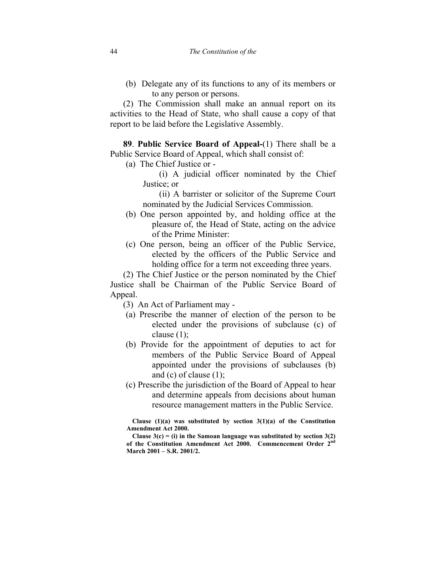(b) Delegate any of its functions to any of its members or to any person or persons.

(2) The Commission shall make an annual report on its activities to the Head of State, who shall cause a copy of that report to be laid before the Legislative Assembly.

**89**. **Public Service Board of Appeal-**(1) There shall be a Public Service Board of Appeal, which shall consist of:

- (a) The Chief Justice or
	- (i) A judicial officer nominated by the Chief Justice; or

(ii) A barrister or solicitor of the Supreme Court nominated by the Judicial Services Commission.

- (b) One person appointed by, and holding office at the pleasure of, the Head of State, acting on the advice of the Prime Minister:
- (c) One person, being an officer of the Public Service, elected by the officers of the Public Service and holding office for a term not exceeding three years.

(2) The Chief Justice or the person nominated by the Chief Justice shall be Chairman of the Public Service Board of Appeal.

- (3) An Act of Parliament may -
- (a) Prescribe the manner of election of the person to be elected under the provisions of subclause (c) of clause  $(1)$ ;
- (b) Provide for the appointment of deputies to act for members of the Public Service Board of Appeal appointed under the provisions of subclauses (b) and (c) of clause  $(1)$ ;
- (c) Prescribe the jurisdiction of the Board of Appeal to hear and determine appeals from decisions about human resource management matters in the Public Service.

 **Clause (1)(a) was substituted by section 3(1)(a) of the Constitution Amendment Act 2000.** 

 **Clause 3(c) = (i) in the Samoan language was substituted by section 3(2) of the Constitution Amendment Act 2000. Commencement Order 2nd March 2001 – S.R. 2001/2.**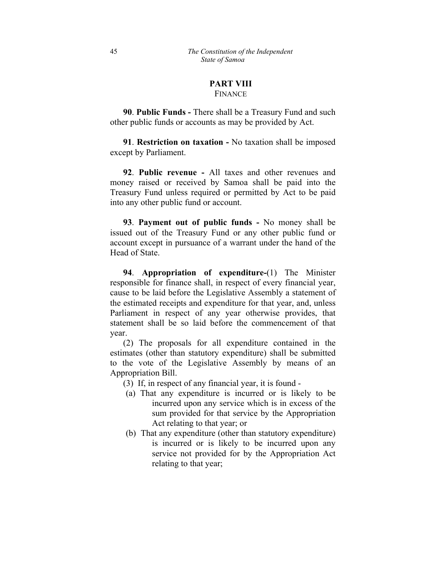*The Constitution of the Independent State of Samoa*

## **PART VIII**  FINANCE

**90**. **Public Funds -** There shall be a Treasury Fund and such other public funds or accounts as may be provided by Act.

**91**. **Restriction on taxation -** No taxation shall be imposed except by Parliament.

**92**. **Public revenue -** All taxes and other revenues and money raised or received by Samoa shall be paid into the Treasury Fund unless required or permitted by Act to be paid into any other public fund or account.

**93**. **Payment out of public funds -** No money shall be issued out of the Treasury Fund or any other public fund or account except in pursuance of a warrant under the hand of the Head of State.

**94**. **Appropriation of expenditure-**(1) The Minister responsible for finance shall, in respect of every financial year, cause to be laid before the Legislative Assembly a statement of the estimated receipts and expenditure for that year, and, unless Parliament in respect of any year otherwise provides, that statement shall be so laid before the commencement of that year.

(2) The proposals for all expenditure contained in the estimates (other than statutory expenditure) shall be submitted to the vote of the Legislative Assembly by means of an Appropriation Bill.

(3) If, in respect of any financial year, it is found -

- (a) That any expenditure is incurred or is likely to be incurred upon any service which is in excess of the sum provided for that service by the Appropriation Act relating to that year; or
- (b) That any expenditure (other than statutory expenditure) is incurred or is likely to be incurred upon any service not provided for by the Appropriation Act relating to that year;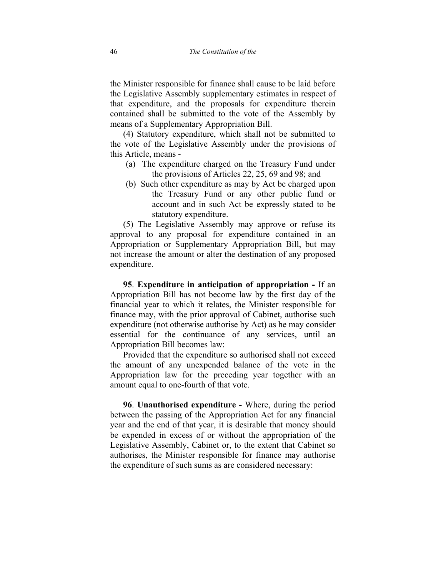the Minister responsible for finance shall cause to be laid before the Legislative Assembly supplementary estimates in respect of that expenditure, and the proposals for expenditure therein contained shall be submitted to the vote of the Assembly by means of a Supplementary Appropriation Bill.

(4) Statutory expenditure, which shall not be submitted to the vote of the Legislative Assembly under the provisions of this Article, means -

- (a) The expenditure charged on the Treasury Fund under the provisions of Articles 22, 25, 69 and 98; and
- (b) Such other expenditure as may by Act be charged upon the Treasury Fund or any other public fund or account and in such Act be expressly stated to be statutory expenditure.

(5) The Legislative Assembly may approve or refuse its approval to any proposal for expenditure contained in an Appropriation or Supplementary Appropriation Bill, but may not increase the amount or alter the destination of any proposed expenditure.

**95**. **Expenditure in anticipation of appropriation -** If an Appropriation Bill has not become law by the first day of the financial year to which it relates, the Minister responsible for finance may, with the prior approval of Cabinet, authorise such expenditure (not otherwise authorise by Act) as he may consider essential for the continuance of any services, until an Appropriation Bill becomes law:

Provided that the expenditure so authorised shall not exceed the amount of any unexpended balance of the vote in the Appropriation law for the preceding year together with an amount equal to one-fourth of that vote.

**96**. **Unauthorised expenditure -** Where, during the period between the passing of the Appropriation Act for any financial year and the end of that year, it is desirable that money should be expended in excess of or without the appropriation of the Legislative Assembly, Cabinet or, to the extent that Cabinet so authorises, the Minister responsible for finance may authorise the expenditure of such sums as are considered necessary: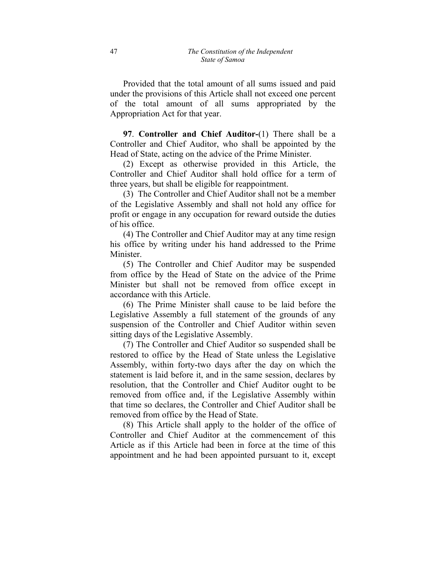Provided that the total amount of all sums issued and paid under the provisions of this Article shall not exceed one percent of the total amount of all sums appropriated by the Appropriation Act for that year.

**97**. **Controller and Chief Auditor-**(1) There shall be a Controller and Chief Auditor, who shall be appointed by the Head of State, acting on the advice of the Prime Minister.

(2) Except as otherwise provided in this Article, the Controller and Chief Auditor shall hold office for a term of three years, but shall be eligible for reappointment.

(3) The Controller and Chief Auditor shall not be a member of the Legislative Assembly and shall not hold any office for profit or engage in any occupation for reward outside the duties of his office.

(4) The Controller and Chief Auditor may at any time resign his office by writing under his hand addressed to the Prime Minister.

(5) The Controller and Chief Auditor may be suspended from office by the Head of State on the advice of the Prime Minister but shall not be removed from office except in accordance with this Article.

(6) The Prime Minister shall cause to be laid before the Legislative Assembly a full statement of the grounds of any suspension of the Controller and Chief Auditor within seven sitting days of the Legislative Assembly.

(7) The Controller and Chief Auditor so suspended shall be restored to office by the Head of State unless the Legislative Assembly, within forty-two days after the day on which the statement is laid before it, and in the same session, declares by resolution, that the Controller and Chief Auditor ought to be removed from office and, if the Legislative Assembly within that time so declares, the Controller and Chief Auditor shall be removed from office by the Head of State.

(8) This Article shall apply to the holder of the office of Controller and Chief Auditor at the commencement of this Article as if this Article had been in force at the time of this appointment and he had been appointed pursuant to it, except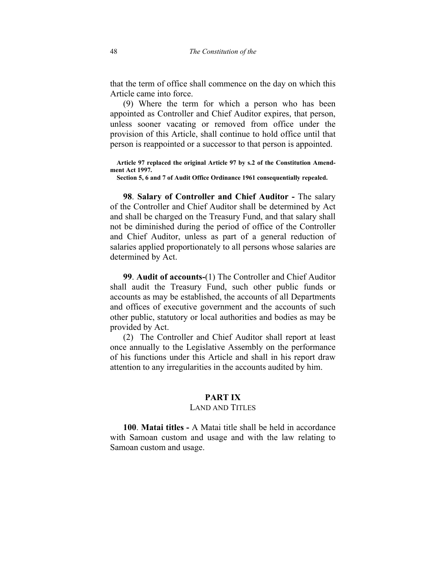that the term of office shall commence on the day on which this Article came into force.

(9) Where the term for which a person who has been appointed as Controller and Chief Auditor expires, that person, unless sooner vacating or removed from office under the provision of this Article, shall continue to hold office until that person is reappointed or a successor to that person is appointed.

 **Article 97 replaced the original Article 97 by s.2 of the Constitution Amendment Act 1997.** 

 **Section 5, 6 and 7 of Audit Office Ordinance 1961 consequentially repealed.**

**98**. **Salary of Controller and Chief Auditor -** The salary of the Controller and Chief Auditor shall be determined by Act and shall be charged on the Treasury Fund, and that salary shall not be diminished during the period of office of the Controller and Chief Auditor, unless as part of a general reduction of salaries applied proportionately to all persons whose salaries are determined by Act.

**99**. **Audit of accounts-**(1) The Controller and Chief Auditor shall audit the Treasury Fund, such other public funds or accounts as may be established, the accounts of all Departments and offices of executive government and the accounts of such other public, statutory or local authorities and bodies as may be provided by Act.

(2) The Controller and Chief Auditor shall report at least once annually to the Legislative Assembly on the performance of his functions under this Article and shall in his report draw attention to any irregularities in the accounts audited by him.

## **PART IX**

## LAND AND TITLES

**100**. **Matai titles -** A Matai title shall be held in accordance with Samoan custom and usage and with the law relating to Samoan custom and usage.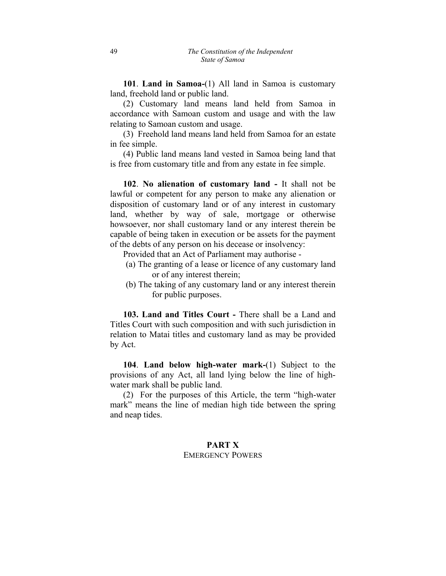**101**. **Land in Samoa-**(1) All land in Samoa is customary land, freehold land or public land.

(2) Customary land means land held from Samoa in accordance with Samoan custom and usage and with the law relating to Samoan custom and usage.

(3) Freehold land means land held from Samoa for an estate in fee simple.

(4) Public land means land vested in Samoa being land that is free from customary title and from any estate in fee simple.

**102**. **No alienation of customary land -** It shall not be lawful or competent for any person to make any alienation or disposition of customary land or of any interest in customary land, whether by way of sale, mortgage or otherwise howsoever, nor shall customary land or any interest therein be capable of being taken in execution or be assets for the payment of the debts of any person on his decease or insolvency:

Provided that an Act of Parliament may authorise -

- (a) The granting of a lease or licence of any customary land or of any interest therein;
- (b) The taking of any customary land or any interest therein for public purposes.

**103. Land and Titles Court -** There shall be a Land and Titles Court with such composition and with such jurisdiction in relation to Matai titles and customary land as may be provided by Act.

**104**. **Land below high-water mark-**(1) Subject to the provisions of any Act, all land lying below the line of highwater mark shall be public land.

(2) For the purposes of this Article, the term "high-water mark" means the line of median high tide between the spring and neap tides.

## **PART X**  EMERGENCY POWERS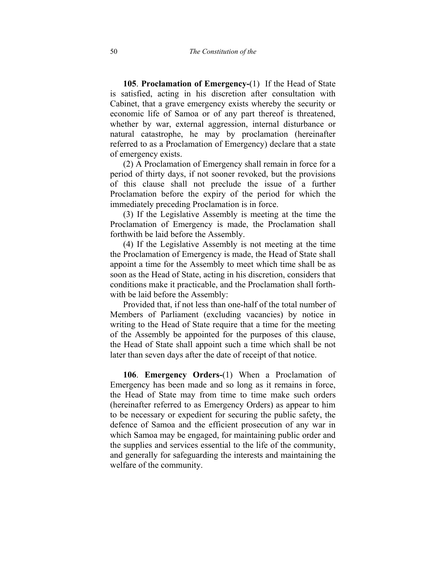**105**. **Proclamation of Emergency-**(1) If the Head of State is satisfied, acting in his discretion after consultation with Cabinet, that a grave emergency exists whereby the security or economic life of Samoa or of any part thereof is threatened, whether by war, external aggression, internal disturbance or natural catastrophe, he may by proclamation (hereinafter referred to as a Proclamation of Emergency) declare that a state of emergency exists.

(2) A Proclamation of Emergency shall remain in force for a period of thirty days, if not sooner revoked, but the provisions of this clause shall not preclude the issue of a further Proclamation before the expiry of the period for which the immediately preceding Proclamation is in force.

(3) If the Legislative Assembly is meeting at the time the Proclamation of Emergency is made, the Proclamation shall forthwith be laid before the Assembly.

(4) If the Legislative Assembly is not meeting at the time the Proclamation of Emergency is made, the Head of State shall appoint a time for the Assembly to meet which time shall be as soon as the Head of State, acting in his discretion, considers that conditions make it practicable, and the Proclamation shall forthwith be laid before the Assembly:

Provided that, if not less than one-half of the total number of Members of Parliament (excluding vacancies) by notice in writing to the Head of State require that a time for the meeting of the Assembly be appointed for the purposes of this clause, the Head of State shall appoint such a time which shall be not later than seven days after the date of receipt of that notice.

**106**. **Emergency Orders-**(1) When a Proclamation of Emergency has been made and so long as it remains in force, the Head of State may from time to time make such orders (hereinafter referred to as Emergency Orders) as appear to him to be necessary or expedient for securing the public safety, the defence of Samoa and the efficient prosecution of any war in which Samoa may be engaged, for maintaining public order and the supplies and services essential to the life of the community, and generally for safeguarding the interests and maintaining the welfare of the community.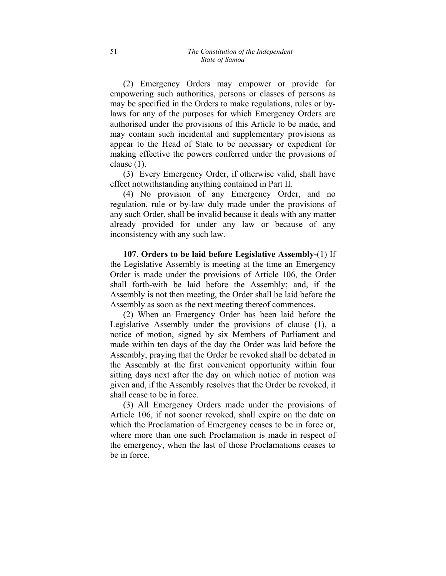(2) Emergency Orders may empower or provide for empowering such authorities, persons or classes of persons as may be specified in the Orders to make regulations, rules or bylaws for any of the purposes for which Emergency Orders are authorised under the provisions of this Article to be made, and may contain such incidental and supplementary provisions as appear to the Head of State to be necessary or expedient for making effective the powers conferred under the provisions of clause (1).

(3) Every Emergency Order, if otherwise valid, shall have effect notwithstanding anything contained in Part II.

(4) No provision of any Emergency Order, and no regulation, rule or by-law duly made under the provisions of any such Order, shall be invalid because it deals with any matter already provided for under any law or because of any inconsistency with any such law.

**107**. **Orders to be laid before Legislative Assembly-**(1) If the Legislative Assembly is meeting at the time an Emergency Order is made under the provisions of Article 106, the Order shall forth-with be laid before the Assembly; and, if the Assembly is not then meeting, the Order shall be laid before the Assembly as soon as the next meeting thereof commences.

(2) When an Emergency Order has been laid before the Legislative Assembly under the provisions of clause (1), a notice of motion, signed by six Members of Parliament and made within ten days of the day the Order was laid before the Assembly, praying that the Order be revoked shall be debated in the Assembly at the first convenient opportunity within four sitting days next after the day on which notice of motion was given and, if the Assembly resolves that the Order be revoked, it shall cease to be in force.

(3) All Emergency Orders made under the provisions of Article 106, if not sooner revoked, shall expire on the date on which the Proclamation of Emergency ceases to be in force or, where more than one such Proclamation is made in respect of the emergency, when the last of those Proclamations ceases to be in force.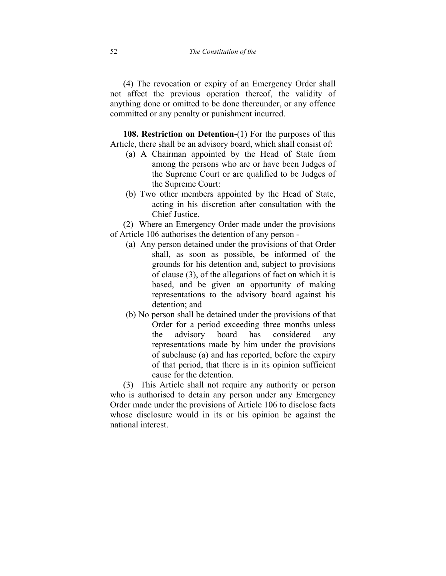(4) The revocation or expiry of an Emergency Order shall not affect the previous operation thereof, the validity of anything done or omitted to be done thereunder, or any offence committed or any penalty or punishment incurred.

**108. Restriction on Detention-**(1) For the purposes of this Article, there shall be an advisory board, which shall consist of:

- (a) A Chairman appointed by the Head of State from among the persons who are or have been Judges of the Supreme Court or are qualified to be Judges of the Supreme Court:
- (b) Two other members appointed by the Head of State, acting in his discretion after consultation with the Chief Justice.

(2) Where an Emergency Order made under the provisions of Article 106 authorises the detention of any person -

- (a) Any person detained under the provisions of that Order shall, as soon as possible, be informed of the grounds for his detention and, subject to provisions of clause (3), of the allegations of fact on which it is based, and be given an opportunity of making representations to the advisory board against his detention; and
- (b) No person shall be detained under the provisions of that Order for a period exceeding three months unless the advisory board has considered any representations made by him under the provisions of subclause (a) and has reported, before the expiry of that period, that there is in its opinion sufficient cause for the detention.

(3) This Article shall not require any authority or person who is authorised to detain any person under any Emergency Order made under the provisions of Article 106 to disclose facts whose disclosure would in its or his opinion be against the national interest.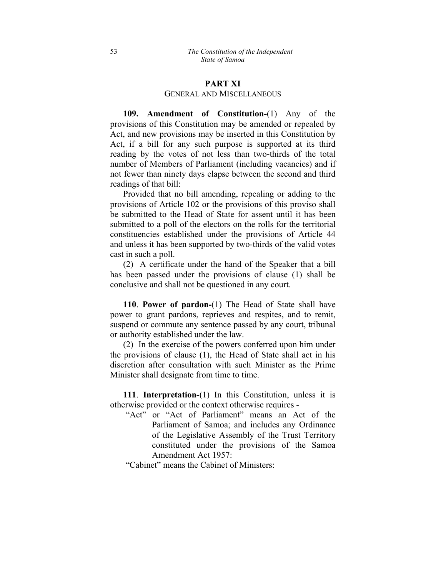*The Constitution of the Independent State of Samoa*

## **PART XI**

## GENERAL AND MISCELLANEOUS

**109. Amendment of Constitution-**(1) Any of the provisions of this Constitution may be amended or repealed by Act, and new provisions may be inserted in this Constitution by Act, if a bill for any such purpose is supported at its third reading by the votes of not less than two-thirds of the total number of Members of Parliament (including vacancies) and if not fewer than ninety days elapse between the second and third readings of that bill:

Provided that no bill amending, repealing or adding to the provisions of Article 102 or the provisions of this proviso shall be submitted to the Head of State for assent until it has been submitted to a poll of the electors on the rolls for the territorial constituencies established under the provisions of Article 44 and unless it has been supported by two-thirds of the valid votes cast in such a poll.

(2) A certificate under the hand of the Speaker that a bill has been passed under the provisions of clause (1) shall be conclusive and shall not be questioned in any court.

**110**. **Power of pardon-**(1) The Head of State shall have power to grant pardons, reprieves and respites, and to remit, suspend or commute any sentence passed by any court, tribunal or authority established under the law.

(2) In the exercise of the powers conferred upon him under the provisions of clause (1), the Head of State shall act in his discretion after consultation with such Minister as the Prime Minister shall designate from time to time.

**111**. **Interpretation-**(1) In this Constitution, unless it is otherwise provided or the context otherwise requires -

"Act" or "Act of Parliament" means an Act of the Parliament of Samoa; and includes any Ordinance of the Legislative Assembly of the Trust Territory constituted under the provisions of the Samoa Amendment Act 1957:

"Cabinet" means the Cabinet of Ministers: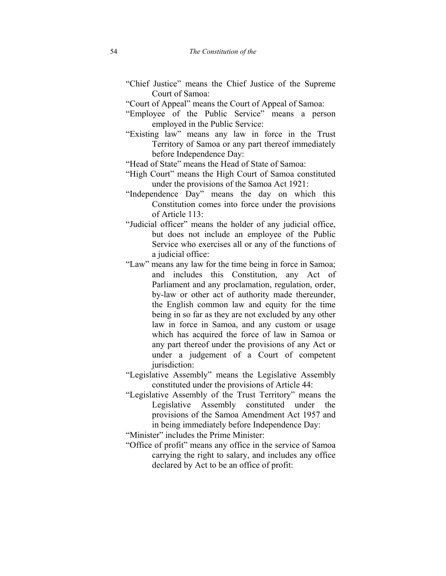"Chief Justice" means the Chief Justice of the Supreme Court of Samoa:

"Court of Appeal" means the Court of Appeal of Samoa:

- "Employee of the Public Service" means a person employed in the Public Service:
- "Existing law" means any law in force in the Trust Territory of Samoa or any part thereof immediately before Independence Day:
- "Head of State" means the Head of State of Samoa:
- "High Court" means the High Court of Samoa constituted under the provisions of the Samoa Act 1921:
- "Independence Day" means the day on which this Constitution comes into force under the provisions of Article 113:
- "Judicial officer" means the holder of any judicial office, but does not include an employee of the Public Service who exercises all or any of the functions of a judicial office:
- "Law" means any law for the time being in force in Samoa; and includes this Constitution, any Act of Parliament and any proclamation, regulation, order, by-law or other act of authority made thereunder, the English common law and equity for the time being in so far as they are not excluded by any other law in force in Samoa, and any custom or usage which has acquired the force of law in Samoa or any part thereof under the provisions of any Act or under a judgement of a Court of competent jurisdiction:
- "Legislative Assembly" means the Legislative Assembly constituted under the provisions of Article 44:
- "Legislative Assembly of the Trust Territory" means the Legislative Assembly constituted under the provisions of the Samoa Amendment Act 1957 and in being immediately before Independence Day:

"Minister" includes the Prime Minister:

"Office of profit" means any office in the service of Samoa carrying the right to salary, and includes any office declared by Act to be an office of profit: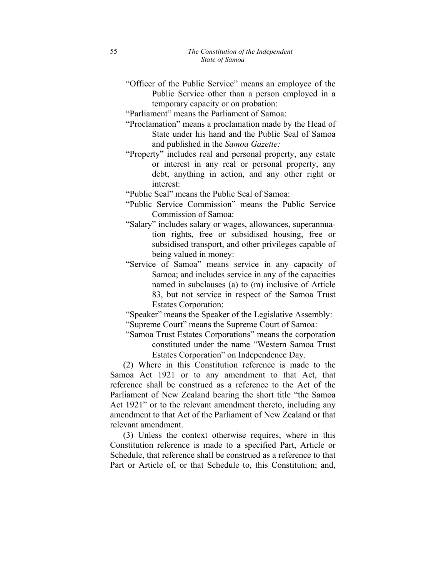"Officer of the Public Service" means an employee of the Public Service other than a person employed in a temporary capacity or on probation:

"Parliament" means the Parliament of Samoa:

- "Proclamation" means a proclamation made by the Head of State under his hand and the Public Seal of Samoa and published in the *Samoa Gazette:*
- "Property" includes real and personal property, any estate or interest in any real or personal property, any debt, anything in action, and any other right or interest:

"Public Seal" means the Public Seal of Samoa:

- "Public Service Commission" means the Public Service Commission of Samoa:
- "Salary" includes salary or wages, allowances, superannuation rights, free or subsidised housing, free or subsidised transport, and other privileges capable of being valued in money:
- "Service of Samoa" means service in any capacity of Samoa; and includes service in any of the capacities named in subclauses (a) to (m) inclusive of Article 83, but not service in respect of the Samoa Trust Estates Corporation:

"Speaker" means the Speaker of the Legislative Assembly: "Supreme Court" means the Supreme Court of Samoa:

"Samoa Trust Estates Corporations" means the corporation constituted under the name "Western Samoa Trust Estates Corporation" on Independence Day.

(2) Where in this Constitution reference is made to the Samoa Act 1921 or to any amendment to that Act, that reference shall be construed as a reference to the Act of the Parliament of New Zealand bearing the short title "the Samoa Act 1921" or to the relevant amendment thereto, including any amendment to that Act of the Parliament of New Zealand or that relevant amendment.

(3) Unless the context otherwise requires, where in this Constitution reference is made to a specified Part, Article or Schedule, that reference shall be construed as a reference to that Part or Article of, or that Schedule to, this Constitution; and,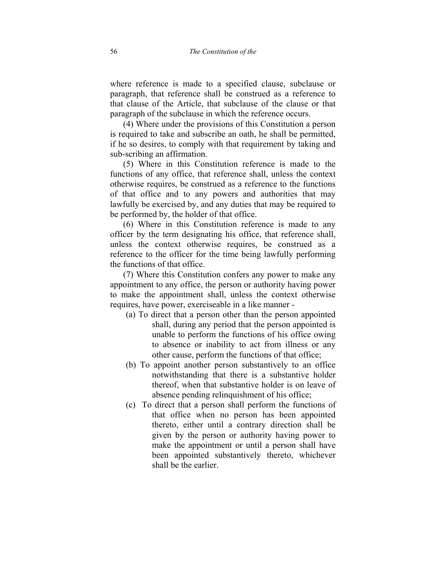where reference is made to a specified clause, subclause or paragraph, that reference shall be construed as a reference to that clause of the Article, that subclause of the clause or that paragraph of the subclause in which the reference occurs.

(4) Where under the provisions of this Constitution a person is required to take and subscribe an oath, he shall be permitted, if he so desires, to comply with that requirement by taking and sub-scribing an affirmation.

(5) Where in this Constitution reference is made to the functions of any office, that reference shall, unless the context otherwise requires, be construed as a reference to the functions of that office and to any powers and authorities that may lawfully be exercised by, and any duties that may be required to be performed by, the holder of that office.

(6) Where in this Constitution reference is made to any officer by the term designating his office, that reference shall, unless the context otherwise requires, be construed as a reference to the officer for the time being lawfully performing the functions of that office.

(7) Where this Constitution confers any power to make any appointment to any office, the person or authority having power to make the appointment shall, unless the context otherwise requires, have power, exerciseable in a like manner -

- (a) To direct that a person other than the person appointed shall, during any period that the person appointed is unable to perform the functions of his office owing to absence or inability to act from illness or any other cause, perform the functions of that office;
- (b) To appoint another person substantively to an office notwithstanding that there is a substantive holder thereof, when that substantive holder is on leave of absence pending relinquishment of his office;
- (c) To direct that a person shall perform the functions of that office when no person has been appointed thereto, either until a contrary direction shall be given by the person or authority having power to make the appointment or until a person shall have been appointed substantively thereto, whichever shall be the earlier.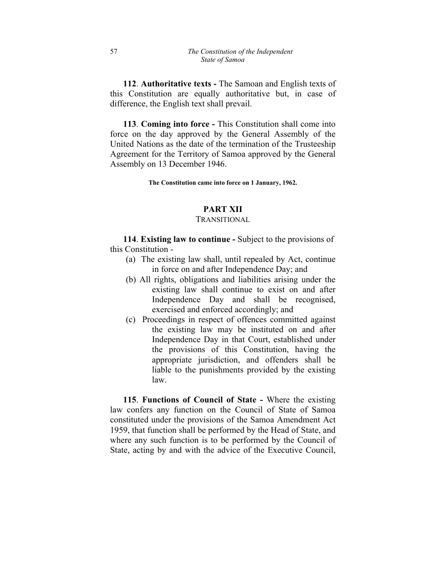**112**. **Authoritative texts -** The Samoan and English texts of this Constitution are equally authoritative but, in case of difference, the English text shall prevail.

**113**. **Coming into force -** This Constitution shall come into force on the day approved by the General Assembly of the United Nations as the date of the termination of the Trusteeship Agreement for the Territory of Samoa approved by the General Assembly on 13 December 1946.

**The Constitution came into force on 1 January, 1962.** 

## **PART XII**

## TRANSITIONAL

**114**. **Existing law to continue -** Subject to the provisions of this Constitution -

- (a) The existing law shall, until repealed by Act, continue in force on and after Independence Day; and
- (b) All rights, obligations and liabilities arising under the existing law shall continue to exist on and after Independence Day and shall be recognised, exercised and enforced accordingly; and
- (c) Proceedings in respect of offences committed against the existing law may be instituted on and after Independence Day in that Court, established under the provisions of this Constitution, having the appropriate jurisdiction, and offenders shall be liable to the punishments provided by the existing law.

**115**. **Functions of Council of State -** Where the existing law confers any function on the Council of State of Samoa constituted under the provisions of the Samoa Amendment Act 1959, that function shall be performed by the Head of State, and where any such function is to be performed by the Council of State, acting by and with the advice of the Executive Council,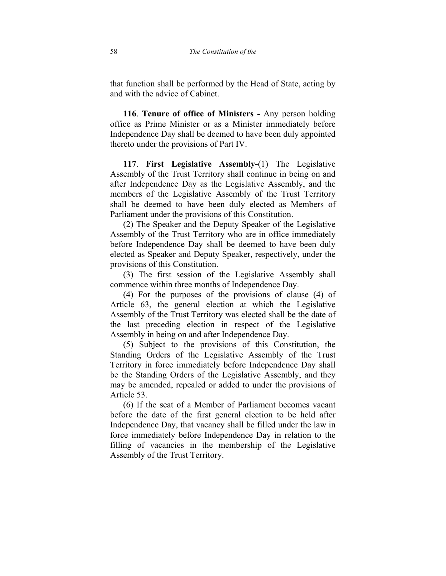that function shall be performed by the Head of State, acting by and with the advice of Cabinet.

**116**. **Tenure of office of Ministers -** Any person holding office as Prime Minister or as a Minister immediately before Independence Day shall be deemed to have been duly appointed thereto under the provisions of Part IV.

**117**. **First Legislative Assembly-**(1) The Legislative Assembly of the Trust Territory shall continue in being on and after Independence Day as the Legislative Assembly, and the members of the Legislative Assembly of the Trust Territory shall be deemed to have been duly elected as Members of Parliament under the provisions of this Constitution.

(2) The Speaker and the Deputy Speaker of the Legislative Assembly of the Trust Territory who are in office immediately before Independence Day shall be deemed to have been duly elected as Speaker and Deputy Speaker, respectively, under the provisions of this Constitution.

(3) The first session of the Legislative Assembly shall commence within three months of Independence Day.

(4) For the purposes of the provisions of clause (4) of Article 63, the general election at which the Legislative Assembly of the Trust Territory was elected shall be the date of the last preceding election in respect of the Legislative Assembly in being on and after Independence Day.

(5) Subject to the provisions of this Constitution, the Standing Orders of the Legislative Assembly of the Trust Territory in force immediately before Independence Day shall be the Standing Orders of the Legislative Assembly, and they may be amended, repealed or added to under the provisions of Article 53.

(6) If the seat of a Member of Parliament becomes vacant before the date of the first general election to be held after Independence Day, that vacancy shall be filled under the law in force immediately before Independence Day in relation to the filling of vacancies in the membership of the Legislative Assembly of the Trust Territory.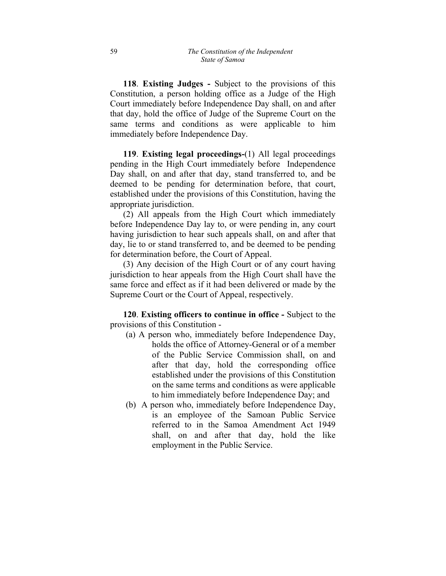**118**. **Existing Judges -** Subject to the provisions of this Constitution, a person holding office as a Judge of the High Court immediately before Independence Day shall, on and after that day, hold the office of Judge of the Supreme Court on the same terms and conditions as were applicable to him immediately before Independence Day.

**119**. **Existing legal proceedings-**(1) All legal proceedings pending in the High Court immediately before Independence Day shall, on and after that day, stand transferred to, and be deemed to be pending for determination before, that court, established under the provisions of this Constitution, having the appropriate jurisdiction.

(2) All appeals from the High Court which immediately before Independence Day lay to, or were pending in, any court having jurisdiction to hear such appeals shall, on and after that day, lie to or stand transferred to, and be deemed to be pending for determination before, the Court of Appeal.

(3) Any decision of the High Court or of any court having jurisdiction to hear appeals from the High Court shall have the same force and effect as if it had been delivered or made by the Supreme Court or the Court of Appeal, respectively.

**120**. **Existing officers to continue in office -** Subject to the provisions of this Constitution -

- (a) A person who, immediately before Independence Day, holds the office of Attorney-General or of a member of the Public Service Commission shall, on and after that day, hold the corresponding office established under the provisions of this Constitution on the same terms and conditions as were applicable to him immediately before Independence Day; and
- (b) A person who, immediately before Independence Day, is an employee of the Samoan Public Service referred to in the Samoa Amendment Act 1949 shall, on and after that day, hold the like employment in the Public Service.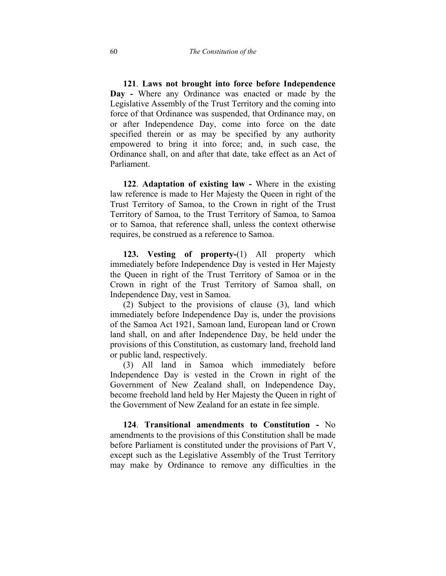**121**. **Laws not brought into force before Independence Day -** Where any Ordinance was enacted or made by the Legislative Assembly of the Trust Territory and the coming into force of that Ordinance was suspended, that Ordinance may, on or after Independence Day, come into force on the date specified therein or as may be specified by any authority empowered to bring it into force; and, in such case, the Ordinance shall, on and after that date, take effect as an Act of Parliament.

**122**. **Adaptation of existing law -** Where in the existing law reference is made to Her Majesty the Queen in right of the Trust Territory of Samoa, to the Crown in right of the Trust Territory of Samoa, to the Trust Territory of Samoa, to Samoa or to Samoa, that reference shall, unless the context otherwise requires, be construed as a reference to Samoa.

**123. Vesting of property-**(1) All property which immediately before Independence Day is vested in Her Majesty the Queen in right of the Trust Territory of Samoa or in the Crown in right of the Trust Territory of Samoa shall, on Independence Day, vest in Samoa.

(2) Subject to the provisions of clause (3), land which immediately before Independence Day is, under the provisions of the Samoa Act 1921, Samoan land, European land or Crown land shall, on and after Independence Day, be held under the provisions of this Constitution, as customary land, freehold land or public land, respectively.

(3) All land in Samoa which immediately before Independence Day is vested in the Crown in right of the Government of New Zealand shall, on Independence Day, become freehold land held by Her Majesty the Queen in right of the Government of New Zealand for an estate in fee simple.

**124**. **Transitional amendments to Constitution -** No amendments to the provisions of this Constitution shall be made before Parliament is constituted under the provisions of Part V, except such as the Legislative Assembly of the Trust Territory may make by Ordinance to remove any difficulties in the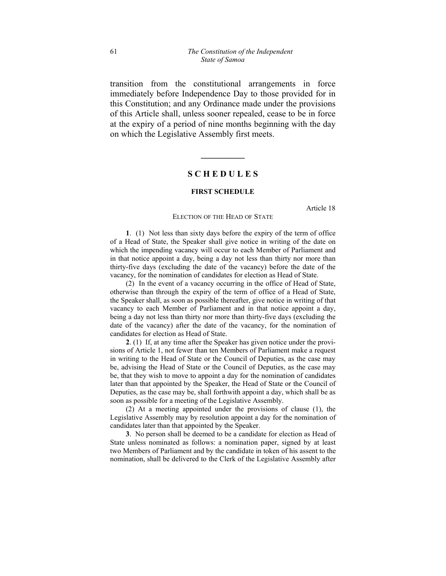## *The Constitution of the Independent State of Samoa*

transition from the constitutional arrangements in force immediately before Independence Day to those provided for in this Constitution; and any Ordinance made under the provisions of this Article shall, unless sooner repealed, cease to be in force at the expiry of a period of nine months beginning with the day on which the Legislative Assembly first meets.

## **S C H E D U L E S**

**\_\_\_\_\_\_\_\_\_\_** 

#### **FIRST SCHEDULE**

Article 18

#### ELECTION OF THE HEAD OF STATE

**1**. (1) Not less than sixty days before the expiry of the term of office of a Head of State, the Speaker shall give notice in writing of the date on which the impending vacancy will occur to each Member of Parliament and in that notice appoint a day, being a day not less than thirty nor more than thirty-five days (excluding the date of the vacancy) before the date of the vacancy, for the nomination of candidates for election as Head of State.

(2) In the event of a vacancy occurring in the office of Head of State, otherwise than through the expiry of the term of office of a Head of State, the Speaker shall, as soon as possible thereafter, give notice in writing of that vacancy to each Member of Parliament and in that notice appoint a day, being a day not less than thirty nor more than thirty-five days (excluding the date of the vacancy) after the date of the vacancy, for the nomination of candidates for election as Head of State.

**2**. (1) If, at any time after the Speaker has given notice under the provisions of Article 1, not fewer than ten Members of Parliament make a request in writing to the Head of State or the Council of Deputies, as the case may be, advising the Head of State or the Council of Deputies, as the case may be, that they wish to move to appoint a day for the nomination of candidates later than that appointed by the Speaker, the Head of State or the Council of Deputies, as the case may be, shall forthwith appoint a day, which shall be as soon as possible for a meeting of the Legislative Assembly.

(2) At a meeting appointed under the provisions of clause (1), the Legislative Assembly may by resolution appoint a day for the nomination of candidates later than that appointed by the Speaker.

**3**. No person shall be deemed to be a candidate for election as Head of State unless nominated as follows: a nomination paper, signed by at least two Members of Parliament and by the candidate in token of his assent to the nomination, shall be delivered to the Clerk of the Legislative Assembly after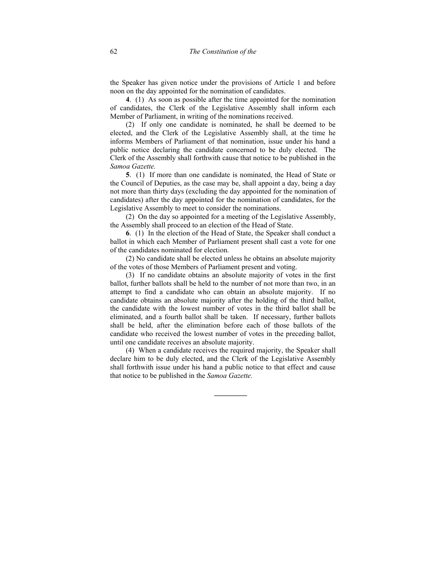the Speaker has given notice under the provisions of Article 1 and before noon on the day appointed for the nomination of candidates.

**4**. (1) As soon as possible after the time appointed for the nomination of candidates, the Clerk of the Legislative Assembly shall inform each Member of Parliament, in writing of the nominations received.

(2) If only one candidate is nominated, he shall be deemed to be elected, and the Clerk of the Legislative Assembly shall, at the time he informs Members of Parliament of that nomination, issue under his hand a public notice declaring the candidate concerned to be duly elected. The Clerk of the Assembly shall forthwith cause that notice to be published in the *Samoa Gazette.*

**5**. (1) If more than one candidate is nominated, the Head of State or the Council of Deputies, as the case may be, shall appoint a day, being a day not more than thirty days (excluding the day appointed for the nomination of candidates) after the day appointed for the nomination of candidates, for the Legislative Assembly to meet to consider the nominations.

(2) On the day so appointed for a meeting of the Legislative Assembly, the Assembly shall proceed to an election of the Head of State.

**6**. (1) In the election of the Head of State, the Speaker shall conduct a ballot in which each Member of Parliament present shall cast a vote for one of the candidates nominated for election.

(2) No candidate shall be elected unless he obtains an absolute majority of the votes of those Members of Parliament present and voting.

(3) If no candidate obtains an absolute majority of votes in the first ballot, further ballots shall be held to the number of not more than two, in an attempt to find a candidate who can obtain an absolute majority. If no candidate obtains an absolute majority after the holding of the third ballot, the candidate with the lowest number of votes in the third ballot shall be eliminated, and a fourth ballot shall be taken. If necessary, further ballots shall be held, after the elimination before each of those ballots of the candidate who received the lowest number of votes in the preceding ballot, until one candidate receives an absolute majority.

(4) When a candidate receives the required majority, the Speaker shall declare him to be duly elected, and the Clerk of the Legislative Assembly shall forthwith issue under his hand a public notice to that effect and cause that notice to be published in the *Samoa Gazette.*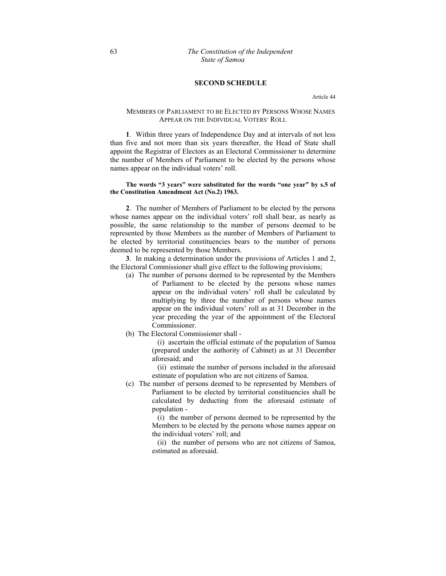## *The Constitution of the Independent State of Samoa*

#### **SECOND SCHEDULE**

Article 44

## MEMBERS OF PARLIAMENT TO BE ELECTED BY PERSONS WHOSE NAMES APPEAR ON THE INDIVIDUAL VOTERS' ROLL

**1**. Within three years of Independence Day and at intervals of not less than five and not more than six years thereafter, the Head of State shall appoint the Registrar of Electors as an Electoral Commissioner to determine the number of Members of Parliament to be elected by the persons whose names appear on the individual voters' roll.

#### **The words "3 years" were substituted for the words "one year" by s.5 of the Constitution Amendment Act (No.2) 1963.**

**2**. The number of Members of Parliament to be elected by the persons whose names appear on the individual voters' roll shall bear, as nearly as possible, the same relationship to the number of persons deemed to be represented by those Members as the number of Members of Parliament to be elected by territorial constituencies bears to the number of persons deemed to be represented by those Members.

**3**. In making a determination under the provisions of Articles 1 and 2, the Electoral Commissioner shall give effect to the following provisions;

- (a) The number of persons deemed to be represented by the Members of Parliament to be elected by the persons whose names appear on the individual voters' roll shall be calculated by multiplying by three the number of persons whose names appear on the individual voters' roll as at 31 December in the year preceding the year of the appointment of the Electoral Commissioner.
- (b) The Electoral Commissioner shall -

 (i) ascertain the official estimate of the population of Samoa (prepared under the authority of Cabinet) as at 31 December aforesaid; and

 (ii) estimate the number of persons included in the aforesaid estimate of population who are not citizens of Samoa.

(c) The number of persons deemed to be represented by Members of Parliament to be elected by territorial constituencies shall be calculated by deducting from the aforesaid estimate of population -

> (i) the number of persons deemed to be represented by the Members to be elected by the persons whose names appear on the individual voters' roll; and

> (ii) the number of persons who are not citizens of Samoa, estimated as aforesaid.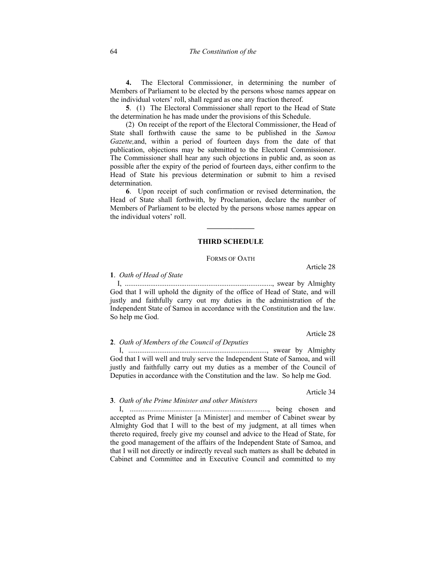**4.** The Electoral Commissioner, in determining the number of Members of Parliament to be elected by the persons whose names appear on the individual voters' roll, shall regard as one any fraction thereof.

**5**. (1) The Electoral Commissioner shall report to the Head of State the determination he has made under the provisions of this Schedule.

(2) On receipt of the report of the Electoral Commissioner, the Head of State shall forthwith cause the same to be published in the *Samoa Gazette,*and, within a period of fourteen days from the date of that publication, objections may be submitted to the Electoral Commissioner. The Commissioner shall hear any such objections in public and, as soon as possible after the expiry of the period of fourteen days, either confirm to the Head of State his previous determination or submit to him a revised determination.

**6**. Upon receipt of such confirmation or revised determination, the Head of State shall forthwith, by Proclamation, declare the number of Members of Parliament to be elected by the persons whose names appear on the individual voters' roll.

#### **THIRD SCHEDULE**

**\_\_\_\_\_\_\_\_\_\_\_\_\_** 

#### FORMS OF OATH

Article 28

## **1**. *Oath of Head of State*

 I, ................................................................................., swear by Almighty God that I will uphold the dignity of the office of Head of State, and will justly and faithfully carry out my duties in the administration of the Independent State of Samoa in accordance with the Constitution and the law. So help me God.

Article 28

#### **2**. *Oath of Members of the Council of Deputies*

 I, ............................................................................, swear by Almighty God that I will well and truly serve the Independent State of Samoa, and will justly and faithfully carry out my duties as a member of the Council of Deputies in accordance with the Constitution and the law. So help me God.

#### Article 34

## **3**. *Oath of the Prime Minister and other Ministers*

 I, ............................................................................, being chosen and accepted as Prime Minister [a Minister] and member of Cabinet swear by Almighty God that I will to the best of my judgment, at all times when thereto required, freely give my counsel and advice to the Head of State, for the good management of the affairs of the Independent State of Samoa, and that I will not directly or indirectly reveal such matters as shall be debated in Cabinet and Committee and in Executive Council and committed to my